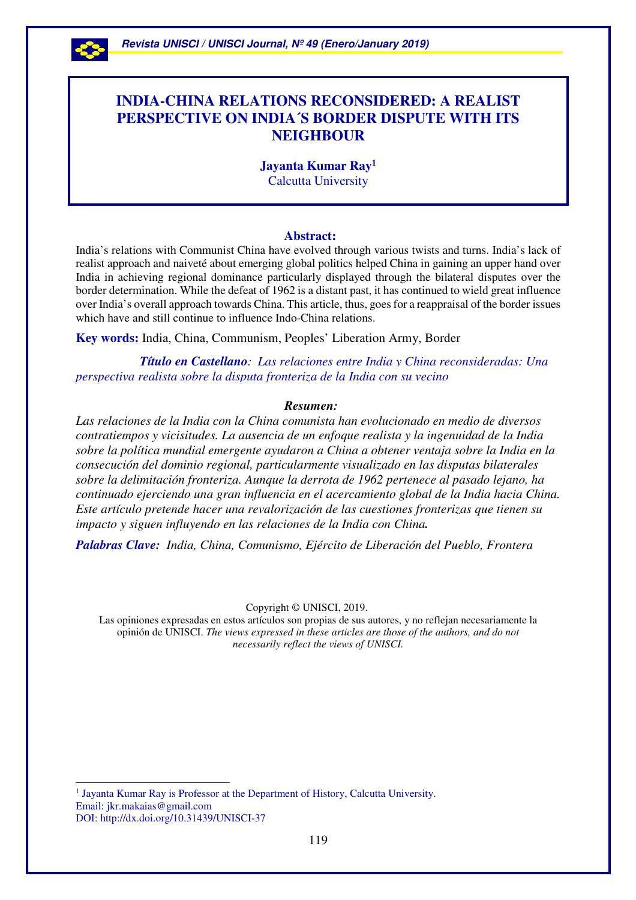

 $\overline{a}$ 

# **INDIA-CHINA RELATIONS RECONSIDERED: A REALIST PERSPECTIVE ON INDIA´S BORDER DISPUTE WITH ITS NEIGHBOUR**

**Jayanta Kumar Ray<sup>1</sup>** Calcutta University

#### **Abstract:**

India's relations with Communist China have evolved through various twists and turns. India's lack of realist approach and naiveté about emerging global politics helped China in gaining an upper hand over India in achieving regional dominance particularly displayed through the bilateral disputes over the border determination. While the defeat of 1962 is a distant past, it has continued to wield great influence over India's overall approach towards China. This article, thus, goes for a reappraisal of the border issues which have and still continue to influence Indo-China relations.

**Key words:** India, China, Communism, Peoples' Liberation Army, Border

 *Título en Castellano: Las relaciones entre India y China reconsideradas: Una perspectiva realista sobre la disputa fronteriza de la India con su vecino* 

#### *Resumen:*

*Las relaciones de la India con la China comunista han evolucionado en medio de diversos contratiempos y vicisitudes. La ausencia de un enfoque realista y la ingenuidad de la India sobre la política mundial emergente ayudaron a China a obtener ventaja sobre la India en la consecución del dominio regional, particularmente visualizado en las disputas bilaterales sobre la delimitación fronteriza. Aunque la derrota de 1962 pertenece al pasado lejano, ha continuado ejerciendo una gran influencia en el acercamiento global de la India hacia China. Este artículo pretende hacer una revalorización de las cuestiones fronterizas que tienen su impacto y siguen influyendo en las relaciones de la India con China.* 

*Palabras Clave: India, China, Comunismo, Ejército de Liberación del Pueblo, Frontera*

Copyright © UNISCI, 2019.

Las opiniones expresadas en estos artículos son propias de sus autores, y no reflejan necesariamente la opinión de UNISCI. *The views expressed in these articles are those of the authors, and do not necessarily reflect the views of UNISCI.*

<sup>1</sup> Jayanta Kumar Ray is Professor at the Department of History, Calcutta University. Email: jkr.makaias@gmail.com DOI: http://dx.doi.org/10.31439/UNISCI-37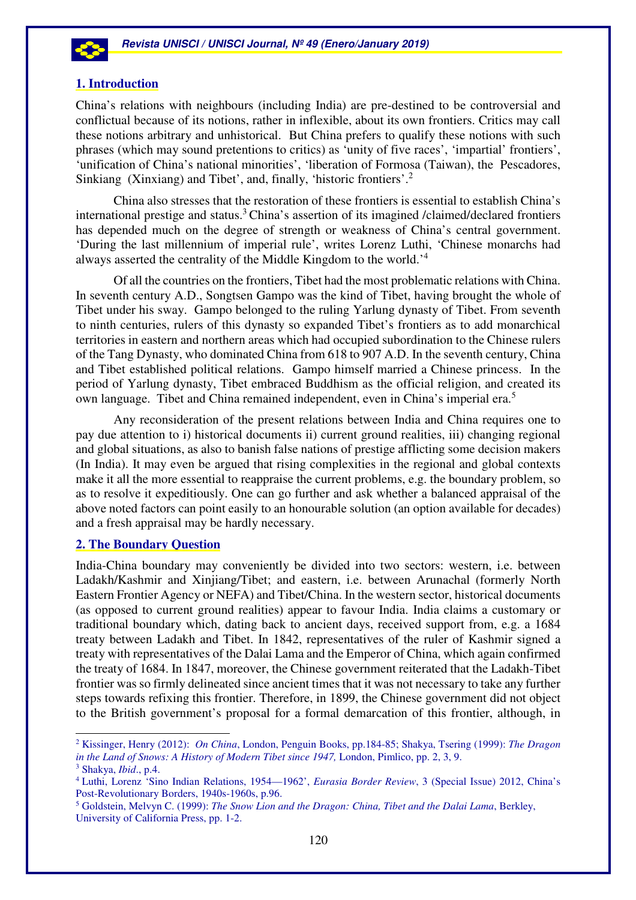

#### **1. Introduction**

China's relations with neighbours (including India) are pre-destined to be controversial and conflictual because of its notions, rather in inflexible, about its own frontiers. Critics may call these notions arbitrary and unhistorical. But China prefers to qualify these notions with such phrases (which may sound pretentions to critics) as 'unity of five races', 'impartial' frontiers', 'unification of China's national minorities', 'liberation of Formosa (Taiwan), the Pescadores, Sinkiang (Xinxiang) and Tibet', and, finally, 'historic frontiers'.<sup>2</sup>

China also stresses that the restoration of these frontiers is essential to establish China's international prestige and status.<sup>3</sup> China's assertion of its imagined /claimed/declared frontiers has depended much on the degree of strength or weakness of China's central government. 'During the last millennium of imperial rule', writes Lorenz Luthi, 'Chinese monarchs had always asserted the centrality of the Middle Kingdom to the world.'<sup>4</sup>

Of all the countries on the frontiers, Tibet had the most problematic relations with China. In seventh century A.D., Songtsen Gampo was the kind of Tibet, having brought the whole of Tibet under his sway. Gampo belonged to the ruling Yarlung dynasty of Tibet. From seventh to ninth centuries, rulers of this dynasty so expanded Tibet's frontiers as to add monarchical territories in eastern and northern areas which had occupied subordination to the Chinese rulers of the Tang Dynasty, who dominated China from 618 to 907 A.D. In the seventh century, China and Tibet established political relations. Gampo himself married a Chinese princess. In the period of Yarlung dynasty, Tibet embraced Buddhism as the official religion, and created its own language. Tibet and China remained independent, even in China's imperial era.<sup>5</sup>

Any reconsideration of the present relations between India and China requires one to pay due attention to i) historical documents ii) current ground realities, iii) changing regional and global situations, as also to banish false nations of prestige afflicting some decision makers (In India). It may even be argued that rising complexities in the regional and global contexts make it all the more essential to reappraise the current problems, e.g. the boundary problem, so as to resolve it expeditiously. One can go further and ask whether a balanced appraisal of the above noted factors can point easily to an honourable solution (an option available for decades) and a fresh appraisal may be hardly necessary.

## **2. The Boundary Question**

 $\overline{a}$ 

India-China boundary may conveniently be divided into two sectors: western, i.e. between Ladakh/Kashmir and Xinjiang/Tibet; and eastern, i.e. between Arunachal (formerly North Eastern Frontier Agency or NEFA) and Tibet/China. In the western sector, historical documents (as opposed to current ground realities) appear to favour India. India claims a customary or traditional boundary which, dating back to ancient days, received support from, e.g. a 1684 treaty between Ladakh and Tibet. In 1842, representatives of the ruler of Kashmir signed a treaty with representatives of the Dalai Lama and the Emperor of China, which again confirmed the treaty of 1684. In 1847, moreover, the Chinese government reiterated that the Ladakh-Tibet frontier was so firmly delineated since ancient times that it was not necessary to take any further steps towards refixing this frontier. Therefore, in 1899, the Chinese government did not object to the British government's proposal for a formal demarcation of this frontier, although, in

<sup>2</sup> Kissinger, Henry (2012): *On China*, London, Penguin Books, pp.184-85; Shakya, Tsering (1999): *The Dragon in the Land of Snows: A History of Modern Tibet since 1947,* London, Pimlico, pp. 2, 3, 9. 3 Shakya, *Ibid*., p.4.

<sup>4</sup> Luthi, Lorenz 'Sino Indian Relations, 1954—1962', *Eurasia Border Review*, 3 (Special Issue) 2012, China's Post-Revolutionary Borders, 1940s-1960s, p.96.

<sup>5</sup> Goldstein, Melvyn C. (1999): *The Snow Lion and the Dragon: China, Tibet and the Dalai Lama*, Berkley, University of California Press, pp. 1-2.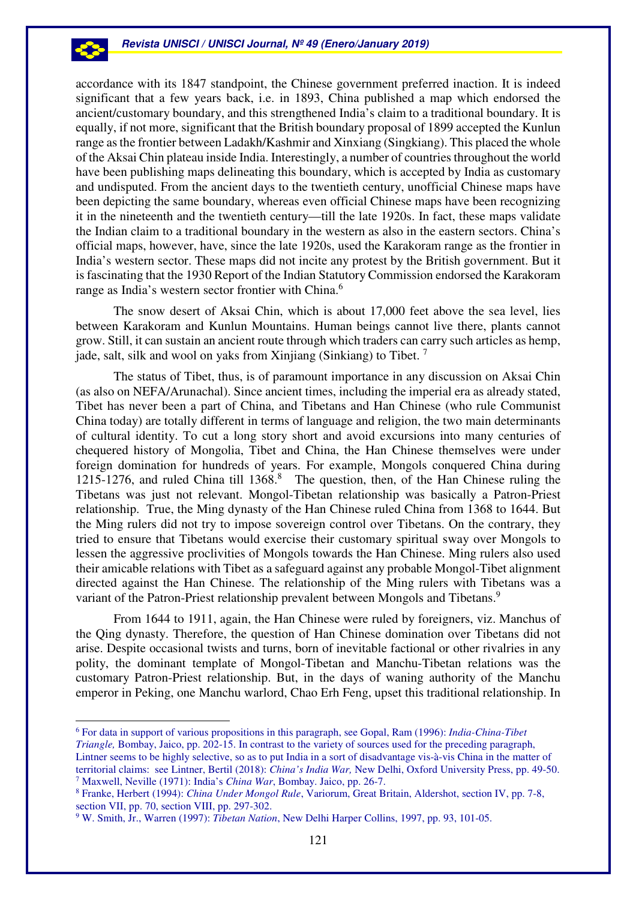accordance with its 1847 standpoint, the Chinese government preferred inaction. It is indeed significant that a few years back, i.e. in 1893, China published a map which endorsed the ancient/customary boundary, and this strengthened India's claim to a traditional boundary. It is equally, if not more, significant that the British boundary proposal of 1899 accepted the Kunlun range as the frontier between Ladakh/Kashmir and Xinxiang (Singkiang). This placed the whole of the Aksai Chin plateau inside India. Interestingly, a number of countries throughout the world have been publishing maps delineating this boundary, which is accepted by India as customary and undisputed. From the ancient days to the twentieth century, unofficial Chinese maps have been depicting the same boundary, whereas even official Chinese maps have been recognizing it in the nineteenth and the twentieth century—till the late 1920s. In fact, these maps validate the Indian claim to a traditional boundary in the western as also in the eastern sectors. China's official maps, however, have, since the late 1920s, used the Karakoram range as the frontier in India's western sector. These maps did not incite any protest by the British government. But it is fascinating that the 1930 Report of the Indian Statutory Commission endorsed the Karakoram range as India's western sector frontier with China.<sup>6</sup>

The snow desert of Aksai Chin, which is about 17,000 feet above the sea level, lies between Karakoram and Kunlun Mountains. Human beings cannot live there, plants cannot grow. Still, it can sustain an ancient route through which traders can carry such articles as hemp, jade, salt, silk and wool on yaks from Xinjiang (Sinkiang) to Tibet.<sup>7</sup>

The status of Tibet, thus, is of paramount importance in any discussion on Aksai Chin (as also on NEFA/Arunachal). Since ancient times, including the imperial era as already stated, Tibet has never been a part of China, and Tibetans and Han Chinese (who rule Communist China today) are totally different in terms of language and religion, the two main determinants of cultural identity. To cut a long story short and avoid excursions into many centuries of chequered history of Mongolia, Tibet and China, the Han Chinese themselves were under foreign domination for hundreds of years. For example, Mongols conquered China during 1215-1276, and ruled China till 1368.<sup>8</sup> The question, then, of the Han Chinese ruling the Tibetans was just not relevant. Mongol-Tibetan relationship was basically a Patron-Priest relationship. True, the Ming dynasty of the Han Chinese ruled China from 1368 to 1644. But the Ming rulers did not try to impose sovereign control over Tibetans. On the contrary, they tried to ensure that Tibetans would exercise their customary spiritual sway over Mongols to lessen the aggressive proclivities of Mongols towards the Han Chinese. Ming rulers also used their amicable relations with Tibet as a safeguard against any probable Mongol-Tibet alignment directed against the Han Chinese. The relationship of the Ming rulers with Tibetans was a variant of the Patron-Priest relationship prevalent between Mongols and Tibetans.<sup>9</sup>

From 1644 to 1911, again, the Han Chinese were ruled by foreigners, viz. Manchus of the Qing dynasty. Therefore, the question of Han Chinese domination over Tibetans did not arise. Despite occasional twists and turns, born of inevitable factional or other rivalries in any polity, the dominant template of Mongol-Tibetan and Manchu-Tibetan relations was the customary Patron-Priest relationship. But, in the days of waning authority of the Manchu emperor in Peking, one Manchu warlord, Chao Erh Feng, upset this traditional relationship. In

<sup>6</sup> For data in support of various propositions in this paragraph, see Gopal, Ram (1996): *India-China-Tibet Triangle,* Bombay, Jaico, pp. 202-15. In contrast to the variety of sources used for the preceding paragraph, Lintner seems to be highly selective, so as to put India in a sort of disadvantage vis-à-vis China in the matter of territorial claims: see Lintner, Bertil (2018): *China's India War,* New Delhi, Oxford University Press, pp. 49-50. 7 Maxwell, Neville (1971): India's *China War*, Bombay. Jaico, pp. 26-7.

<sup>8</sup> Franke, Herbert (1994): *China Under Mongol Rule*, Variorum, Great Britain, Aldershot, section IV, pp. 7-8, section VII, pp. 70, section VIII, pp. 297-302.

<sup>9</sup> W. Smith, Jr., Warren (1997): *Tibetan Nation*, New Delhi Harper Collins, 1997, pp. 93, 101-05.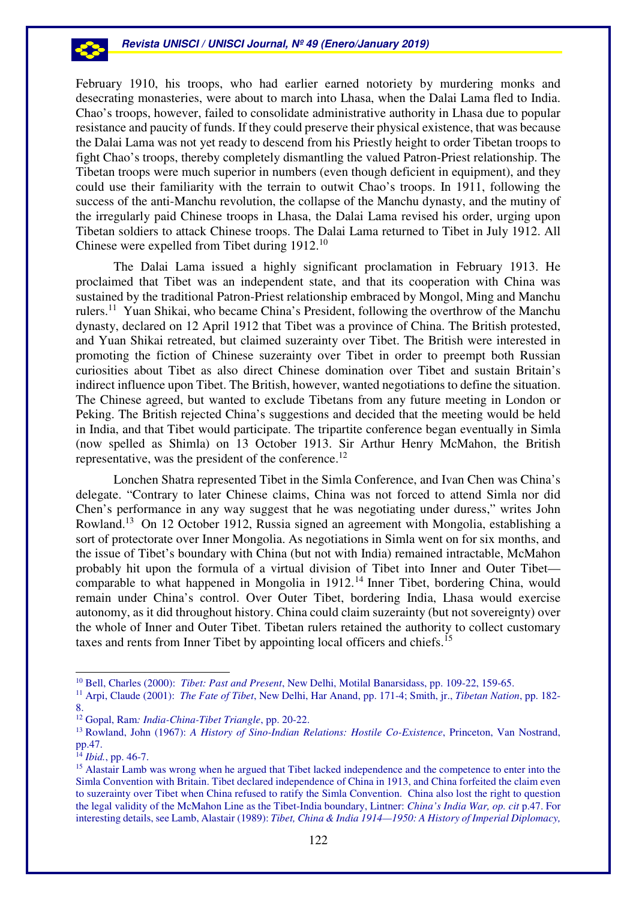

February 1910, his troops, who had earlier earned notoriety by murdering monks and desecrating monasteries, were about to march into Lhasa, when the Dalai Lama fled to India. Chao's troops, however, failed to consolidate administrative authority in Lhasa due to popular resistance and paucity of funds. If they could preserve their physical existence, that was because the Dalai Lama was not yet ready to descend from his Priestly height to order Tibetan troops to fight Chao's troops, thereby completely dismantling the valued Patron-Priest relationship. The Tibetan troops were much superior in numbers (even though deficient in equipment), and they could use their familiarity with the terrain to outwit Chao's troops. In 1911, following the success of the anti-Manchu revolution, the collapse of the Manchu dynasty, and the mutiny of the irregularly paid Chinese troops in Lhasa, the Dalai Lama revised his order, urging upon Tibetan soldiers to attack Chinese troops. The Dalai Lama returned to Tibet in July 1912. All Chinese were expelled from Tibet during 1912.<sup>10</sup>

The Dalai Lama issued a highly significant proclamation in February 1913. He proclaimed that Tibet was an independent state, and that its cooperation with China was sustained by the traditional Patron-Priest relationship embraced by Mongol, Ming and Manchu rulers.<sup>11</sup> Yuan Shikai, who became China's President, following the overthrow of the Manchu dynasty, declared on 12 April 1912 that Tibet was a province of China. The British protested, and Yuan Shikai retreated, but claimed suzerainty over Tibet. The British were interested in promoting the fiction of Chinese suzerainty over Tibet in order to preempt both Russian curiosities about Tibet as also direct Chinese domination over Tibet and sustain Britain's indirect influence upon Tibet. The British, however, wanted negotiations to define the situation. The Chinese agreed, but wanted to exclude Tibetans from any future meeting in London or Peking. The British rejected China's suggestions and decided that the meeting would be held in India, and that Tibet would participate. The tripartite conference began eventually in Simla (now spelled as Shimla) on 13 October 1913. Sir Arthur Henry McMahon, the British representative, was the president of the conference.<sup>12</sup>

Lonchen Shatra represented Tibet in the Simla Conference, and Ivan Chen was China's delegate. "Contrary to later Chinese claims, China was not forced to attend Simla nor did Chen's performance in any way suggest that he was negotiating under duress," writes John Rowland.<sup>13</sup> On 12 October 1912, Russia signed an agreement with Mongolia, establishing a sort of protectorate over Inner Mongolia. As negotiations in Simla went on for six months, and the issue of Tibet's boundary with China (but not with India) remained intractable, McMahon probably hit upon the formula of a virtual division of Tibet into Inner and Outer Tibet comparable to what happened in Mongolia in 1912.<sup>14</sup> Inner Tibet, bordering China, would remain under China's control. Over Outer Tibet, bordering India, Lhasa would exercise autonomy, as it did throughout history. China could claim suzerainty (but not sovereignty) over the whole of Inner and Outer Tibet. Tibetan rulers retained the authority to collect customary taxes and rents from Inner Tibet by appointing local officers and chiefs.<sup>15</sup>

<sup>10</sup> Bell, Charles (2000): *Tibet: Past and Present*, New Delhi, Motilal Banarsidass, pp. 109-22, 159-65.

<sup>11</sup> Arpi, Claude (2001): *The Fate of Tibet*, New Delhi, Har Anand, pp. 171-4; Smith, jr., *Tibetan Nation*, pp. 182- 8.

<sup>12</sup> Gopal, Ram*: India-China-Tibet Triangle*, pp. 20-22.

<sup>13</sup> Rowland, John (1967): *A History of Sino-Indian Relations: Hostile Co-Existence*, Princeton, Van Nostrand, pp.47.

<sup>14</sup> *Ibid.*, pp. 46-7.

<sup>&</sup>lt;sup>15</sup> Alastair Lamb was wrong when he argued that Tibet lacked independence and the competence to enter into the Simla Convention with Britain. Tibet declared independence of China in 1913, and China forfeited the claim even to suzerainty over Tibet when China refused to ratify the Simla Convention. China also lost the right to question the legal validity of the McMahon Line as the Tibet-India boundary, Lintner: *China's India War, op. cit* p.47. For interesting details, see Lamb, Alastair (1989): *Tibet, China & India 1914—1950: A History of Imperial Diplomacy,*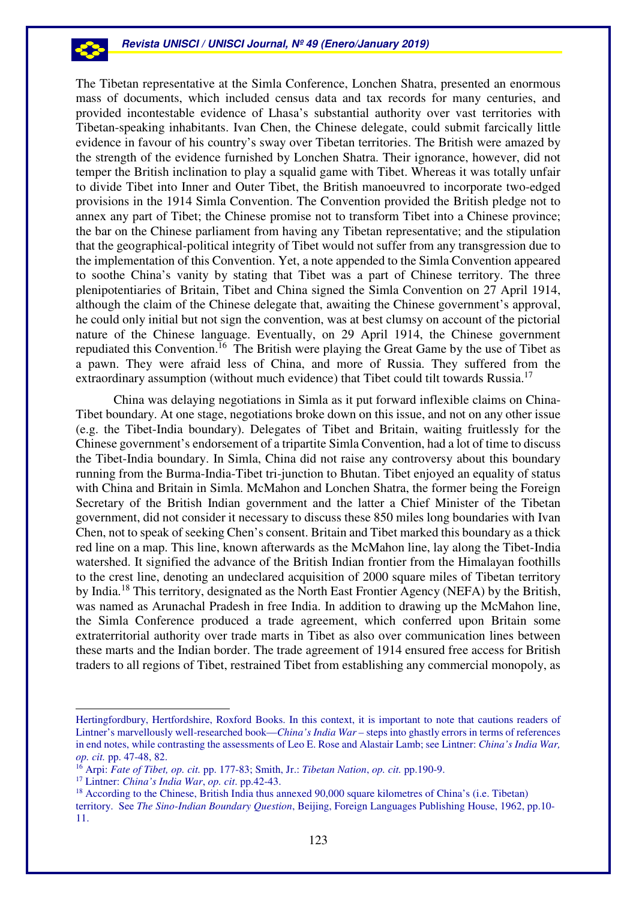The Tibetan representative at the Simla Conference, Lonchen Shatra, presented an enormous mass of documents, which included census data and tax records for many centuries, and provided incontestable evidence of Lhasa's substantial authority over vast territories with Tibetan-speaking inhabitants. Ivan Chen, the Chinese delegate, could submit farcically little evidence in favour of his country's sway over Tibetan territories. The British were amazed by the strength of the evidence furnished by Lonchen Shatra. Their ignorance, however, did not temper the British inclination to play a squalid game with Tibet. Whereas it was totally unfair to divide Tibet into Inner and Outer Tibet, the British manoeuvred to incorporate two-edged provisions in the 1914 Simla Convention. The Convention provided the British pledge not to annex any part of Tibet; the Chinese promise not to transform Tibet into a Chinese province; the bar on the Chinese parliament from having any Tibetan representative; and the stipulation that the geographical-political integrity of Tibet would not suffer from any transgression due to the implementation of this Convention. Yet, a note appended to the Simla Convention appeared to soothe China's vanity by stating that Tibet was a part of Chinese territory. The three plenipotentiaries of Britain, Tibet and China signed the Simla Convention on 27 April 1914, although the claim of the Chinese delegate that, awaiting the Chinese government's approval, he could only initial but not sign the convention, was at best clumsy on account of the pictorial nature of the Chinese language. Eventually, on 29 April 1914, the Chinese government repudiated this Convention.<sup>16</sup> The British were playing the Great Game by the use of Tibet as a pawn. They were afraid less of China, and more of Russia. They suffered from the extraordinary assumption (without much evidence) that Tibet could tilt towards Russia.<sup>17</sup>

China was delaying negotiations in Simla as it put forward inflexible claims on China-Tibet boundary. At one stage, negotiations broke down on this issue, and not on any other issue (e.g. the Tibet-India boundary). Delegates of Tibet and Britain, waiting fruitlessly for the Chinese government's endorsement of a tripartite Simla Convention, had a lot of time to discuss the Tibet-India boundary. In Simla, China did not raise any controversy about this boundary running from the Burma-India-Tibet tri-junction to Bhutan. Tibet enjoyed an equality of status with China and Britain in Simla. McMahon and Lonchen Shatra, the former being the Foreign Secretary of the British Indian government and the latter a Chief Minister of the Tibetan government, did not consider it necessary to discuss these 850 miles long boundaries with Ivan Chen, not to speak of seeking Chen's consent. Britain and Tibet marked this boundary as a thick red line on a map. This line, known afterwards as the McMahon line, lay along the Tibet-India watershed. It signified the advance of the British Indian frontier from the Himalayan foothills to the crest line, denoting an undeclared acquisition of 2000 square miles of Tibetan territory by India.<sup>18</sup> This territory, designated as the North East Frontier Agency (NEFA) by the British, was named as Arunachal Pradesh in free India. In addition to drawing up the McMahon line, the Simla Conference produced a trade agreement, which conferred upon Britain some extraterritorial authority over trade marts in Tibet as also over communication lines between these marts and the Indian border. The trade agreement of 1914 ensured free access for British traders to all regions of Tibet, restrained Tibet from establishing any commercial monopoly, as

Hertingfordbury, Hertfordshire, Roxford Books. In this context, it is important to note that cautions readers of Lintner's marvellously well-researched book—*China's India War –* steps into ghastly errors in terms of references in end notes, while contrasting the assessments of Leo E. Rose and Alastair Lamb; see Lintner: *China's India War, op. cit.* pp. 47-48, 82.

<sup>16</sup> Arpi: *Fate of Tibet, op. cit.* pp. 177-83; Smith, Jr.: *Tibetan Nation*, *op. cit.* pp.190-9.

<sup>17</sup> Lintner: *China's India War*, *op. cit*. pp.42-43.

<sup>&</sup>lt;sup>18</sup> According to the Chinese, British India thus annexed 90,000 square kilometres of China's (i.e. Tibetan) territory. See *The Sino-Indian Boundary Question*, Beijing, Foreign Languages Publishing House, 1962, pp.10- 11.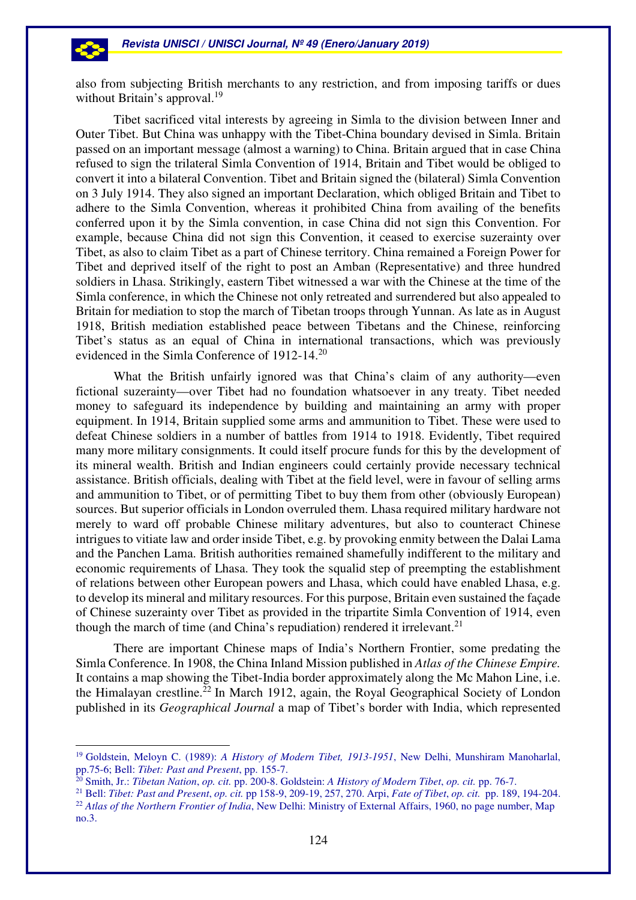also from subjecting British merchants to any restriction, and from imposing tariffs or dues without Britain's approval.<sup>19</sup>

Tibet sacrificed vital interests by agreeing in Simla to the division between Inner and Outer Tibet. But China was unhappy with the Tibet-China boundary devised in Simla. Britain passed on an important message (almost a warning) to China. Britain argued that in case China refused to sign the trilateral Simla Convention of 1914, Britain and Tibet would be obliged to convert it into a bilateral Convention. Tibet and Britain signed the (bilateral) Simla Convention on 3 July 1914. They also signed an important Declaration, which obliged Britain and Tibet to adhere to the Simla Convention, whereas it prohibited China from availing of the benefits conferred upon it by the Simla convention, in case China did not sign this Convention. For example, because China did not sign this Convention, it ceased to exercise suzerainty over Tibet, as also to claim Tibet as a part of Chinese territory. China remained a Foreign Power for Tibet and deprived itself of the right to post an Amban (Representative) and three hundred soldiers in Lhasa. Strikingly, eastern Tibet witnessed a war with the Chinese at the time of the Simla conference, in which the Chinese not only retreated and surrendered but also appealed to Britain for mediation to stop the march of Tibetan troops through Yunnan. As late as in August 1918, British mediation established peace between Tibetans and the Chinese, reinforcing Tibet's status as an equal of China in international transactions, which was previously evidenced in the Simla Conference of 1912-14.<sup>20</sup>

What the British unfairly ignored was that China's claim of any authority—even fictional suzerainty—over Tibet had no foundation whatsoever in any treaty. Tibet needed money to safeguard its independence by building and maintaining an army with proper equipment. In 1914, Britain supplied some arms and ammunition to Tibet. These were used to defeat Chinese soldiers in a number of battles from 1914 to 1918. Evidently, Tibet required many more military consignments. It could itself procure funds for this by the development of its mineral wealth. British and Indian engineers could certainly provide necessary technical assistance. British officials, dealing with Tibet at the field level, were in favour of selling arms and ammunition to Tibet, or of permitting Tibet to buy them from other (obviously European) sources. But superior officials in London overruled them. Lhasa required military hardware not merely to ward off probable Chinese military adventures, but also to counteract Chinese intrigues to vitiate law and order inside Tibet, e.g. by provoking enmity between the Dalai Lama and the Panchen Lama. British authorities remained shamefully indifferent to the military and economic requirements of Lhasa. They took the squalid step of preempting the establishment of relations between other European powers and Lhasa, which could have enabled Lhasa, e.g. to develop its mineral and military resources. For this purpose, Britain even sustained the façade of Chinese suzerainty over Tibet as provided in the tripartite Simla Convention of 1914, even though the march of time (and China's repudiation) rendered it irrelevant.<sup>21</sup>

There are important Chinese maps of India's Northern Frontier, some predating the Simla Conference. In 1908, the China Inland Mission published in *Atlas of the Chinese Empire.* It contains a map showing the Tibet-India border approximately along the Mc Mahon Line, i.e. the Himalayan crestline.<sup>22</sup> In March 1912, again, the Royal Geographical Society of London published in its *Geographical Journal* a map of Tibet's border with India, which represented

<sup>19</sup> Goldstein, Meloyn C. (1989): *A History of Modern Tibet, 1913-1951*, New Delhi, Munshiram Manoharlal, pp.75-6; Bell: *Tibet: Past and Present*, pp. 155-7.

<sup>20</sup> Smith, Jr.: *Tibetan Nation*, *op. cit.* pp. 200-8. Goldstein: *A History of Modern Tibet*, *op. cit.* pp. 76-7.

<sup>21</sup> Bell: *Tibet: Past and Present*, *op. cit.* pp 158-9, 209-19, 257, 270. Arpi, *Fate of Tibet*, *op. cit.* pp. 189, 194-204. <sup>22</sup> Atlas of the Northern Frontier of India, New Delhi: Ministry of External Affairs, 1960, no page number, Map no.3.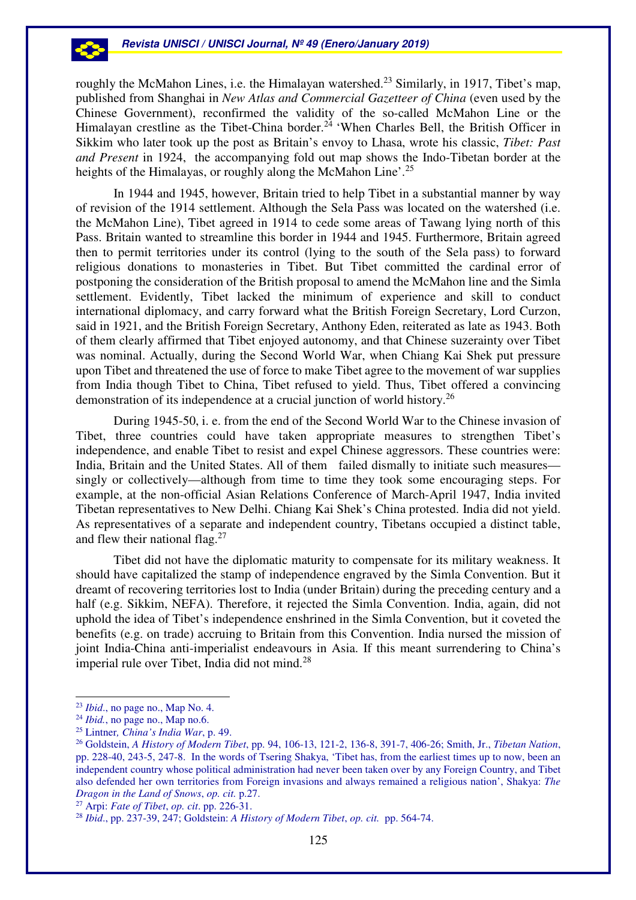roughly the McMahon Lines, i.e. the Himalayan watershed.<sup>23</sup> Similarly, in 1917, Tibet's map, published from Shanghai in *New Atlas and Commercial Gazetteer of China* (even used by the Chinese Government), reconfirmed the validity of the so-called McMahon Line or the Himalayan crestline as the Tibet-China border.<sup>24</sup> 'When Charles Bell, the British Officer in Sikkim who later took up the post as Britain's envoy to Lhasa, wrote his classic, *Tibet: Past and Present* in 1924, the accompanying fold out map shows the Indo-Tibetan border at the heights of the Himalayas, or roughly along the McMahon Line'.<sup>25</sup>

In 1944 and 1945, however, Britain tried to help Tibet in a substantial manner by way of revision of the 1914 settlement. Although the Sela Pass was located on the watershed (i.e. the McMahon Line), Tibet agreed in 1914 to cede some areas of Tawang lying north of this Pass. Britain wanted to streamline this border in 1944 and 1945. Furthermore, Britain agreed then to permit territories under its control (lying to the south of the Sela pass) to forward religious donations to monasteries in Tibet. But Tibet committed the cardinal error of postponing the consideration of the British proposal to amend the McMahon line and the Simla settlement. Evidently, Tibet lacked the minimum of experience and skill to conduct international diplomacy, and carry forward what the British Foreign Secretary, Lord Curzon, said in 1921, and the British Foreign Secretary, Anthony Eden, reiterated as late as 1943. Both of them clearly affirmed that Tibet enjoyed autonomy, and that Chinese suzerainty over Tibet was nominal. Actually, during the Second World War, when Chiang Kai Shek put pressure upon Tibet and threatened the use of force to make Tibet agree to the movement of war supplies from India though Tibet to China, Tibet refused to yield. Thus, Tibet offered a convincing demonstration of its independence at a crucial junction of world history.<sup>26</sup>

During 1945-50, i. e. from the end of the Second World War to the Chinese invasion of Tibet, three countries could have taken appropriate measures to strengthen Tibet's independence, and enable Tibet to resist and expel Chinese aggressors. These countries were: India, Britain and the United States. All of them failed dismally to initiate such measures singly or collectively—although from time to time they took some encouraging steps. For example, at the non-official Asian Relations Conference of March-April 1947, India invited Tibetan representatives to New Delhi. Chiang Kai Shek's China protested. India did not yield. As representatives of a separate and independent country, Tibetans occupied a distinct table, and flew their national flag.<sup>27</sup>

 Tibet did not have the diplomatic maturity to compensate for its military weakness. It should have capitalized the stamp of independence engraved by the Simla Convention. But it dreamt of recovering territories lost to India (under Britain) during the preceding century and a half (e.g. Sikkim, NEFA). Therefore, it rejected the Simla Convention. India, again, did not uphold the idea of Tibet's independence enshrined in the Simla Convention, but it coveted the benefits (e.g. on trade) accruing to Britain from this Convention. India nursed the mission of joint India-China anti-imperialist endeavours in Asia. If this meant surrendering to China's imperial rule over Tibet, India did not mind.<sup>28</sup>

<sup>23</sup> *Ibid*., no page no., Map No. 4.

<sup>24</sup> *Ibid.*, no page no., Map no.6.

<sup>25</sup> Lintner*, China's India War*, p. 49.

<sup>26</sup> Goldstein, *A History of Modern Tibet*, pp. 94, 106-13, 121-2, 136-8, 391-7, 406-26; Smith, Jr., *Tibetan Nation*, pp. 228-40, 243-5, 247-8. In the words of Tsering Shakya, 'Tibet has, from the earliest times up to now, been an independent country whose political administration had never been taken over by any Foreign Country, and Tibet also defended her own territories from Foreign invasions and always remained a religious nation', Shakya: *The Dragon in the Land of Snows*, *op. cit.* p.27.

<sup>27</sup> Arpi: *Fate of Tibet*, *op. cit*. pp. 226-31.

<sup>28</sup> *Ibid*., pp. 237-39, 247; Goldstein: *A History of Modern Tibet*, *op. cit.* pp. 564-74.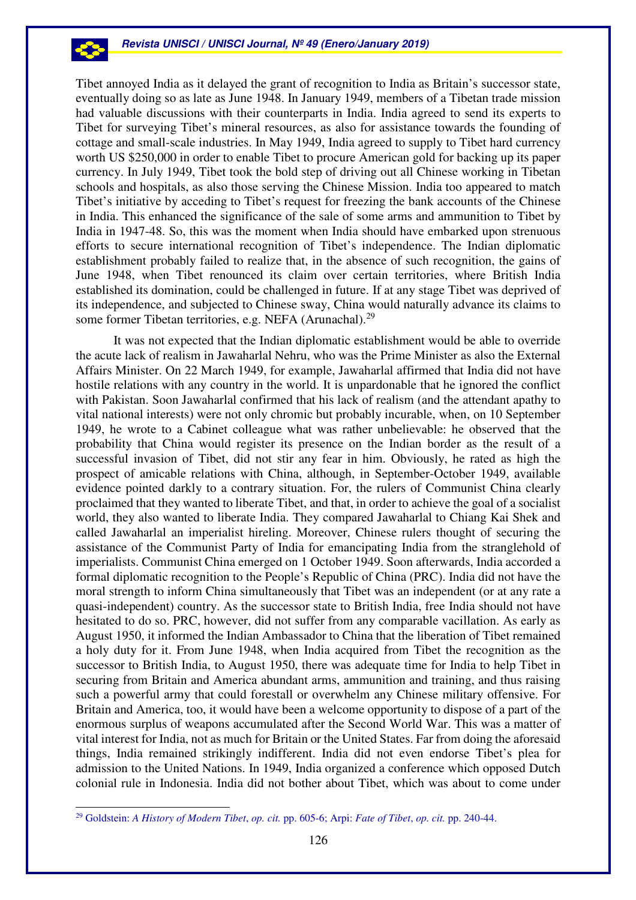Tibet annoyed India as it delayed the grant of recognition to India as Britain's successor state, eventually doing so as late as June 1948. In January 1949, members of a Tibetan trade mission had valuable discussions with their counterparts in India. India agreed to send its experts to Tibet for surveying Tibet's mineral resources, as also for assistance towards the founding of cottage and small-scale industries. In May 1949, India agreed to supply to Tibet hard currency worth US \$250,000 in order to enable Tibet to procure American gold for backing up its paper currency. In July 1949, Tibet took the bold step of driving out all Chinese working in Tibetan schools and hospitals, as also those serving the Chinese Mission. India too appeared to match Tibet's initiative by acceding to Tibet's request for freezing the bank accounts of the Chinese in India. This enhanced the significance of the sale of some arms and ammunition to Tibet by India in 1947-48. So, this was the moment when India should have embarked upon strenuous efforts to secure international recognition of Tibet's independence. The Indian diplomatic establishment probably failed to realize that, in the absence of such recognition, the gains of June 1948, when Tibet renounced its claim over certain territories, where British India established its domination, could be challenged in future. If at any stage Tibet was deprived of its independence, and subjected to Chinese sway, China would naturally advance its claims to some former Tibetan territories, e.g. NEFA (Arunachal).<sup>29</sup>

It was not expected that the Indian diplomatic establishment would be able to override the acute lack of realism in Jawaharlal Nehru, who was the Prime Minister as also the External Affairs Minister. On 22 March 1949, for example, Jawaharlal affirmed that India did not have hostile relations with any country in the world. It is unpardonable that he ignored the conflict with Pakistan. Soon Jawaharlal confirmed that his lack of realism (and the attendant apathy to vital national interests) were not only chromic but probably incurable, when, on 10 September 1949, he wrote to a Cabinet colleague what was rather unbelievable: he observed that the probability that China would register its presence on the Indian border as the result of a successful invasion of Tibet, did not stir any fear in him. Obviously, he rated as high the prospect of amicable relations with China, although, in September-October 1949, available evidence pointed darkly to a contrary situation. For, the rulers of Communist China clearly proclaimed that they wanted to liberate Tibet, and that, in order to achieve the goal of a socialist world, they also wanted to liberate India. They compared Jawaharlal to Chiang Kai Shek and called Jawaharlal an imperialist hireling. Moreover, Chinese rulers thought of securing the assistance of the Communist Party of India for emancipating India from the stranglehold of imperialists. Communist China emerged on 1 October 1949. Soon afterwards, India accorded a formal diplomatic recognition to the People's Republic of China (PRC). India did not have the moral strength to inform China simultaneously that Tibet was an independent (or at any rate a quasi-independent) country. As the successor state to British India, free India should not have hesitated to do so. PRC, however, did not suffer from any comparable vacillation. As early as August 1950, it informed the Indian Ambassador to China that the liberation of Tibet remained a holy duty for it. From June 1948, when India acquired from Tibet the recognition as the successor to British India, to August 1950, there was adequate time for India to help Tibet in securing from Britain and America abundant arms, ammunition and training, and thus raising such a powerful army that could forestall or overwhelm any Chinese military offensive. For Britain and America, too, it would have been a welcome opportunity to dispose of a part of the enormous surplus of weapons accumulated after the Second World War. This was a matter of vital interest for India, not as much for Britain or the United States. Far from doing the aforesaid things, India remained strikingly indifferent. India did not even endorse Tibet's plea for admission to the United Nations. In 1949, India organized a conference which opposed Dutch colonial rule in Indonesia. India did not bother about Tibet, which was about to come under

 $\overline{a}$ 

53

<sup>29</sup> Goldstein: *A History of Modern Tibet*, *op. cit.* pp. 605-6; Arpi: *Fate of Tibet*, *op. cit.* pp. 240-44.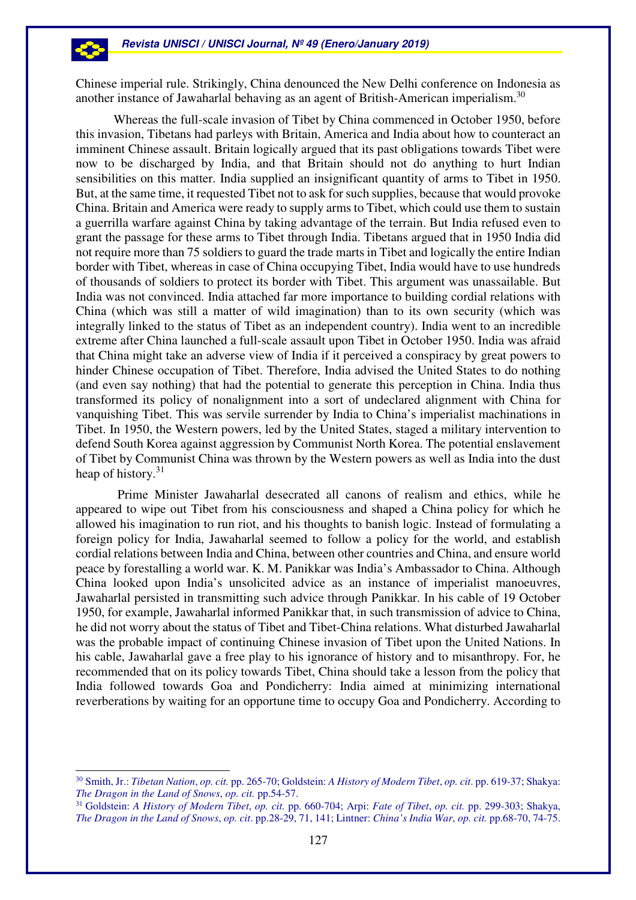Chinese imperial rule. Strikingly, China denounced the New Delhi conference on Indonesia as another instance of Jawaharlal behaving as an agent of British-American imperialism.<sup>30</sup>

Whereas the full-scale invasion of Tibet by China commenced in October 1950, before this invasion, Tibetans had parleys with Britain, America and India about how to counteract an imminent Chinese assault. Britain logically argued that its past obligations towards Tibet were now to be discharged by India, and that Britain should not do anything to hurt Indian sensibilities on this matter. India supplied an insignificant quantity of arms to Tibet in 1950. But, at the same time, it requested Tibet not to ask for such supplies, because that would provoke China. Britain and America were ready to supply arms to Tibet, which could use them to sustain a guerrilla warfare against China by taking advantage of the terrain. But India refused even to grant the passage for these arms to Tibet through India. Tibetans argued that in 1950 India did not require more than 75 soldiers to guard the trade marts in Tibet and logically the entire Indian border with Tibet, whereas in case of China occupying Tibet, India would have to use hundreds of thousands of soldiers to protect its border with Tibet. This argument was unassailable. But India was not convinced. India attached far more importance to building cordial relations with China (which was still a matter of wild imagination) than to its own security (which was integrally linked to the status of Tibet as an independent country). India went to an incredible extreme after China launched a full-scale assault upon Tibet in October 1950. India was afraid that China might take an adverse view of India if it perceived a conspiracy by great powers to hinder Chinese occupation of Tibet. Therefore, India advised the United States to do nothing (and even say nothing) that had the potential to generate this perception in China. India thus transformed its policy of nonalignment into a sort of undeclared alignment with China for vanquishing Tibet. This was servile surrender by India to China's imperialist machinations in Tibet. In 1950, the Western powers, led by the United States, staged a military intervention to defend South Korea against aggression by Communist North Korea. The potential enslavement of Tibet by Communist China was thrown by the Western powers as well as India into the dust heap of history.<sup>31</sup>

 Prime Minister Jawaharlal desecrated all canons of realism and ethics, while he appeared to wipe out Tibet from his consciousness and shaped a China policy for which he allowed his imagination to run riot, and his thoughts to banish logic. Instead of formulating a foreign policy for India, Jawaharlal seemed to follow a policy for the world, and establish cordial relations between India and China, between other countries and China, and ensure world peace by forestalling a world war. K. M. Panikkar was India's Ambassador to China. Although China looked upon India's unsolicited advice as an instance of imperialist manoeuvres, Jawaharlal persisted in transmitting such advice through Panikkar. In his cable of 19 October 1950, for example, Jawaharlal informed Panikkar that, in such transmission of advice to China, he did not worry about the status of Tibet and Tibet-China relations. What disturbed Jawaharlal was the probable impact of continuing Chinese invasion of Tibet upon the United Nations. In his cable, Jawaharlal gave a free play to his ignorance of history and to misanthropy. For, he recommended that on its policy towards Tibet, China should take a lesson from the policy that India followed towards Goa and Pondicherry: India aimed at minimizing international reverberations by waiting for an opportune time to occupy Goa and Pondicherry. According to

 $\overline{a}$ 

-2

<sup>30</sup> Smith, Jr.: *Tibetan Nation*, *op. cit.* pp. 265-70; Goldstein: *A History of Modern Tibet*, *op. cit*. pp. 619-37; Shakya: *The Dragon in the Land of Snows*, *op. cit.* pp.54-57.

<sup>31</sup> Goldstein: *A History of Modern Tibet*, *op. cit.* pp. 660-704; Arpi: *Fate of Tibet*, *op. cit.* pp. 299-303; Shakya, *The Dragon in the Land of Snows*, *op. cit*. pp.28-29, 71, 141; Lintner: *China's India War*, *op. cit.* pp.68-70, 74-75.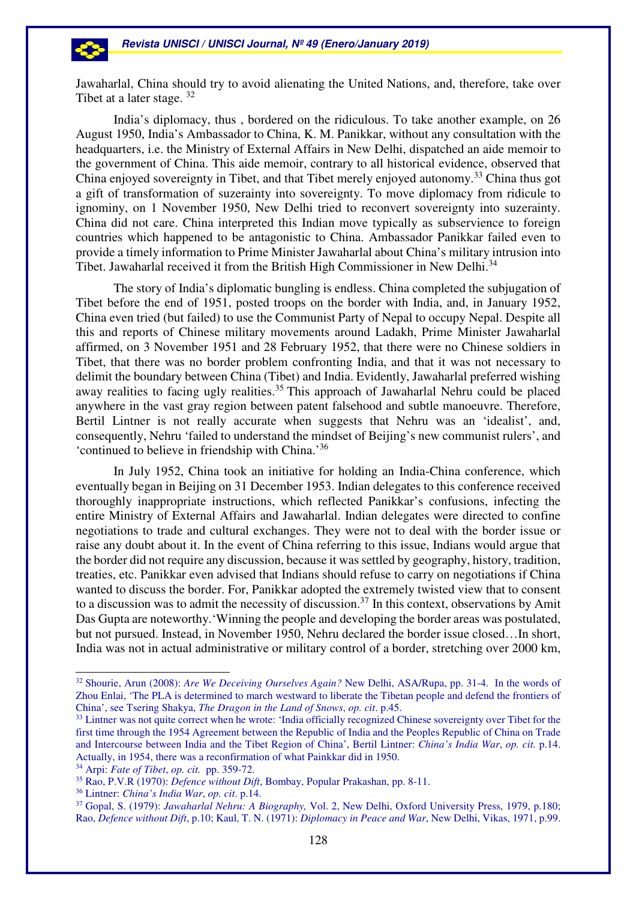Jawaharlal, China should try to avoid alienating the United Nations, and, therefore, take over Tibet at a later stage. 32

India's diplomacy, thus , bordered on the ridiculous. To take another example, on 26 August 1950, India's Ambassador to China, K. M. Panikkar, without any consultation with the headquarters, i.e. the Ministry of External Affairs in New Delhi, dispatched an aide memoir to the government of China. This aide memoir, contrary to all historical evidence, observed that China enjoyed sovereignty in Tibet, and that Tibet merely enjoyed autonomy.<sup>33</sup> China thus got a gift of transformation of suzerainty into sovereignty. To move diplomacy from ridicule to ignominy, on 1 November 1950, New Delhi tried to reconvert sovereignty into suzerainty. China did not care. China interpreted this Indian move typically as subservience to foreign countries which happened to be antagonistic to China. Ambassador Panikkar failed even to provide a timely information to Prime Minister Jawaharlal about China's military intrusion into Tibet. Jawaharlal received it from the British High Commissioner in New Delhi.<sup>34</sup>

 The story of India's diplomatic bungling is endless. China completed the subjugation of Tibet before the end of 1951, posted troops on the border with India, and, in January 1952, China even tried (but failed) to use the Communist Party of Nepal to occupy Nepal. Despite all this and reports of Chinese military movements around Ladakh, Prime Minister Jawaharlal affirmed, on 3 November 1951 and 28 February 1952, that there were no Chinese soldiers in Tibet, that there was no border problem confronting India, and that it was not necessary to delimit the boundary between China (Tibet) and India. Evidently, Jawaharlal preferred wishing away realities to facing ugly realities.<sup>35</sup> This approach of Jawaharlal Nehru could be placed anywhere in the vast gray region between patent falsehood and subtle manoeuvre. Therefore, Bertil Lintner is not really accurate when suggests that Nehru was an 'idealist', and, consequently, Nehru 'failed to understand the mindset of Beijing's new communist rulers', and 'continued to believe in friendship with China.'<sup>36</sup> 

In July 1952, China took an initiative for holding an India-China conference, which eventually began in Beijing on 31 December 1953. Indian delegates to this conference received thoroughly inappropriate instructions, which reflected Panikkar's confusions, infecting the entire Ministry of External Affairs and Jawaharlal. Indian delegates were directed to confine negotiations to trade and cultural exchanges. They were not to deal with the border issue or raise any doubt about it. In the event of China referring to this issue, Indians would argue that the border did not require any discussion, because it was settled by geography, history, tradition, treaties, etc. Panikkar even advised that Indians should refuse to carry on negotiations if China wanted to discuss the border. For, Panikkar adopted the extremely twisted view that to consent to a discussion was to admit the necessity of discussion.<sup>37</sup> In this context, observations by Amit Das Gupta are noteworthy.'Winning the people and developing the border areas was postulated, but not pursued. Instead, in November 1950, Nehru declared the border issue closed…In short, India was not in actual administrative or military control of a border, stretching over 2000 km,

<sup>34</sup> Arpi: *Fate of Tibet*, *op. cit.* pp. 359-72.

<sup>32</sup> Shourie, Arun (2008): *Are We Deceiving Ourselves Again?* New Delhi, ASA/Rupa, pp. 31-4. In the words of Zhou Enlai, 'The PLA is determined to march westward to liberate the Tibetan people and defend the frontiers of China', see Tsering Shakya, *The Dragon in the Land of Snows*, *op. cit*. p.45.

<sup>&</sup>lt;sup>33</sup> Lintner was not quite correct when he wrote: 'India officially recognized Chinese sovereignty over Tibet for the first time through the 1954 Agreement between the Republic of India and the Peoples Republic of China on Trade and Intercourse between India and the Tibet Region of China', Bertil Lintner: *China's India War*, *op. cit.* p.14. Actually, in 1954, there was a reconfirmation of what Painkkar did in 1950.

<sup>35</sup> Rao, P.V.R (1970): *Defence without Dift*, Bombay, Popular Prakashan, pp. 8-11.

<sup>36</sup> Lintner: *China's India War*, *op. cit*. p.14.

<sup>37</sup> Gopal, S. (1979): *Jawaharlal Nehru: A Biography,* Vol. 2, New Delhi, Oxford University Press, 1979, p.180; Rao, *Defence without Dift*, p.10; Kaul, T. N. (1971): *Diplomacy in Peace and War*, New Delhi, Vikas, 1971, p.99.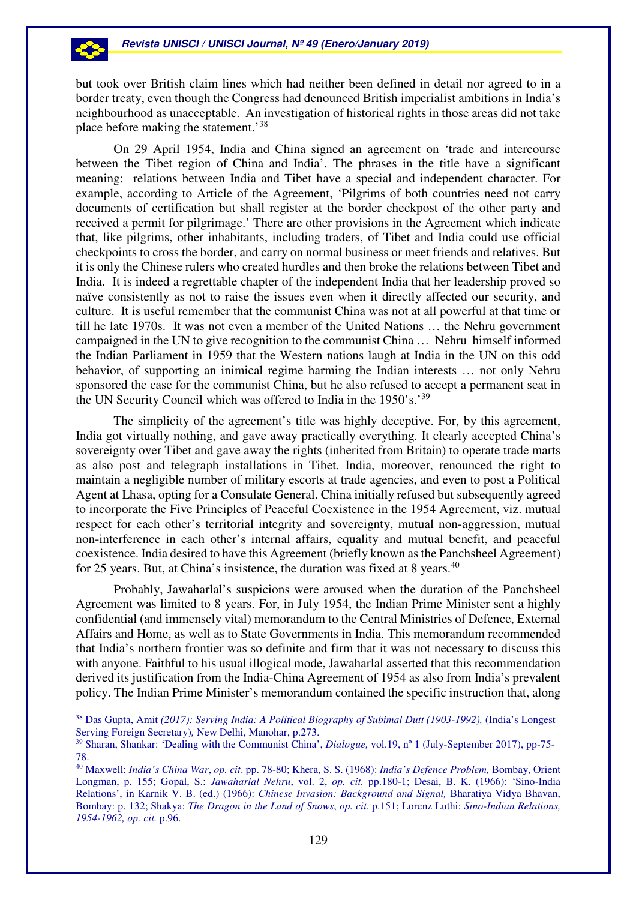but took over British claim lines which had neither been defined in detail nor agreed to in a border treaty, even though the Congress had denounced British imperialist ambitions in India's neighbourhood as unacceptable. An investigation of historical rights in those areas did not take place before making the statement.'<sup>38</sup>

On 29 April 1954, India and China signed an agreement on 'trade and intercourse between the Tibet region of China and India'. The phrases in the title have a significant meaning: relations between India and Tibet have a special and independent character. For example, according to Article of the Agreement, 'Pilgrims of both countries need not carry documents of certification but shall register at the border checkpost of the other party and received a permit for pilgrimage.' There are other provisions in the Agreement which indicate that, like pilgrims, other inhabitants, including traders, of Tibet and India could use official checkpoints to cross the border, and carry on normal business or meet friends and relatives. But it is only the Chinese rulers who created hurdles and then broke the relations between Tibet and India. It is indeed a regrettable chapter of the independent India that her leadership proved so naïve consistently as not to raise the issues even when it directly affected our security, and culture. It is useful remember that the communist China was not at all powerful at that time or till he late 1970s. It was not even a member of the United Nations … the Nehru government campaigned in the UN to give recognition to the communist China … Nehru himself informed the Indian Parliament in 1959 that the Western nations laugh at India in the UN on this odd behavior, of supporting an inimical regime harming the Indian interests … not only Nehru sponsored the case for the communist China, but he also refused to accept a permanent seat in the UN Security Council which was offered to India in the 1950's.'<sup>39</sup>

The simplicity of the agreement's title was highly deceptive. For, by this agreement, India got virtually nothing, and gave away practically everything. It clearly accepted China's sovereignty over Tibet and gave away the rights (inherited from Britain) to operate trade marts as also post and telegraph installations in Tibet. India, moreover, renounced the right to maintain a negligible number of military escorts at trade agencies, and even to post a Political Agent at Lhasa, opting for a Consulate General. China initially refused but subsequently agreed to incorporate the Five Principles of Peaceful Coexistence in the 1954 Agreement, viz. mutual respect for each other's territorial integrity and sovereignty, mutual non-aggression, mutual non-interference in each other's internal affairs, equality and mutual benefit, and peaceful coexistence. India desired to have this Agreement (briefly known as the Panchsheel Agreement) for 25 years. But, at China's insistence, the duration was fixed at 8 years. $40$ 

Probably, Jawaharlal's suspicions were aroused when the duration of the Panchsheel Agreement was limited to 8 years. For, in July 1954, the Indian Prime Minister sent a highly confidential (and immensely vital) memorandum to the Central Ministries of Defence, External Affairs and Home, as well as to State Governments in India. This memorandum recommended that India's northern frontier was so definite and firm that it was not necessary to discuss this with anyone. Faithful to his usual illogical mode, Jawaharlal asserted that this recommendation derived its justification from the India-China Agreement of 1954 as also from India's prevalent policy. The Indian Prime Minister's memorandum contained the specific instruction that, along

 $\overline{a}$ 

-23

<sup>38</sup> Das Gupta, Amit *(2017): Serving India: A Political Biography of Subimal Dutt (1903-1992),* (India's Longest Serving Foreign Secretary)*,* New Delhi, Manohar, p.273.

<sup>39</sup> Sharan, Shankar: 'Dealing with the Communist China', *Dialogue,* vol.19, nº 1 (July-September 2017), pp-75- 78.

<sup>40</sup> Maxwell: *India's China War*, *op. cit*. pp. 78-80; Khera, S. S. (1968): *India's Defence Problem,* Bombay, Orient Longman, p. 155; Gopal, S.: *Jawaharlal Nehru*, vol. 2, *op. cit.* pp.180-1; Desai, B. K. (1966): 'Sino-India Relations', in Karnik V. B. (ed.) (1966): *Chinese Invasion: Background and Signal,* Bharatiya Vidya Bhavan, Bombay: p. 132; Shakya: *The Dragon in the Land of Snows*, *op. cit*. p.151; Lorenz Luthi: *Sino-Indian Relations, 1954-1962, op. cit.* p.96.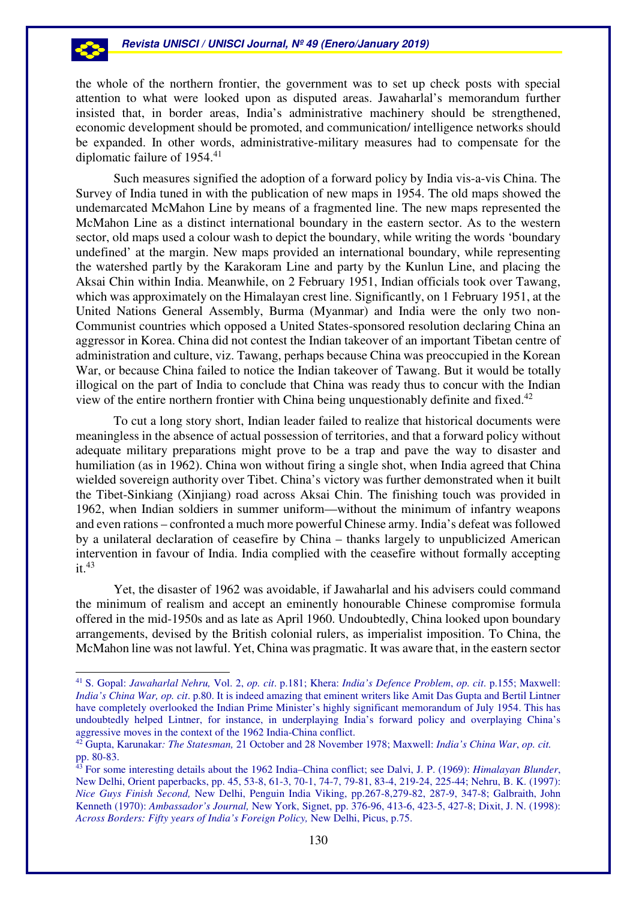the whole of the northern frontier, the government was to set up check posts with special attention to what were looked upon as disputed areas. Jawaharlal's memorandum further insisted that, in border areas, India's administrative machinery should be strengthened, economic development should be promoted, and communication/ intelligence networks should be expanded. In other words, administrative-military measures had to compensate for the diplomatic failure of 1954.<sup>41</sup>

Such measures signified the adoption of a forward policy by India vis-a-vis China. The Survey of India tuned in with the publication of new maps in 1954. The old maps showed the undemarcated McMahon Line by means of a fragmented line. The new maps represented the McMahon Line as a distinct international boundary in the eastern sector. As to the western sector, old maps used a colour wash to depict the boundary, while writing the words 'boundary undefined' at the margin. New maps provided an international boundary, while representing the watershed partly by the Karakoram Line and party by the Kunlun Line, and placing the Aksai Chin within India. Meanwhile, on 2 February 1951, Indian officials took over Tawang, which was approximately on the Himalayan crest line. Significantly, on 1 February 1951, at the United Nations General Assembly, Burma (Myanmar) and India were the only two non-Communist countries which opposed a United States-sponsored resolution declaring China an aggressor in Korea. China did not contest the Indian takeover of an important Tibetan centre of administration and culture, viz. Tawang, perhaps because China was preoccupied in the Korean War, or because China failed to notice the Indian takeover of Tawang. But it would be totally illogical on the part of India to conclude that China was ready thus to concur with the Indian view of the entire northern frontier with China being unquestionably definite and fixed.<sup>42</sup>

To cut a long story short, Indian leader failed to realize that historical documents were meaningless in the absence of actual possession of territories, and that a forward policy without adequate military preparations might prove to be a trap and pave the way to disaster and humiliation (as in 1962). China won without firing a single shot, when India agreed that China wielded sovereign authority over Tibet. China's victory was further demonstrated when it built the Tibet-Sinkiang (Xinjiang) road across Aksai Chin. The finishing touch was provided in 1962, when Indian soldiers in summer uniform—without the minimum of infantry weapons and even rations – confronted a much more powerful Chinese army. India's defeat was followed by a unilateral declaration of ceasefire by China – thanks largely to unpublicized American intervention in favour of India. India complied with the ceasefire without formally accepting it. $43$ 

Yet, the disaster of 1962 was avoidable, if Jawaharlal and his advisers could command the minimum of realism and accept an eminently honourable Chinese compromise formula offered in the mid-1950s and as late as April 1960. Undoubtedly, China looked upon boundary arrangements, devised by the British colonial rulers, as imperialist imposition. To China, the McMahon line was not lawful. Yet, China was pragmatic. It was aware that, in the eastern sector

 $\overline{a}$ 

53

<sup>41</sup> S. Gopal: *Jawaharlal Nehru,* Vol. 2, *op. cit*. p.181; Khera: *India's Defence Problem*, *op. cit*. p.155; Maxwell: *India's China War, op. cit*. p.80. It is indeed amazing that eminent writers like Amit Das Gupta and Bertil Lintner have completely overlooked the Indian Prime Minister's highly significant memorandum of July 1954. This has undoubtedly helped Lintner, for instance, in underplaying India's forward policy and overplaying China's aggressive moves in the context of the 1962 India-China conflict.

<sup>42</sup> Gupta, Karunakar*: The Statesman,* 21 October and 28 November 1978; Maxwell: *India's China War*, *op. cit.* pp. 80-83.

<sup>43</sup> For some interesting details about the 1962 India–China conflict; see Dalvi, J. P. (1969): *Himalayan Blunder*, New Delhi, Orient paperbacks, pp. 45, 53-8, 61-3, 70-1, 74-7, 79-81, 83-4, 219-24, 225-44; Nehru, B. K. (1997): *Nice Guys Finish Second,* New Delhi, Penguin India Viking, pp.267-8,279-82, 287-9, 347-8; Galbraith, John Kenneth (1970): *Ambassador's Journal,* New York, Signet, pp. 376-96, 413-6, 423-5, 427-8; Dixit, J. N. (1998): *Across Borders: Fifty years of India's Foreign Policy,* New Delhi, Picus, p.75.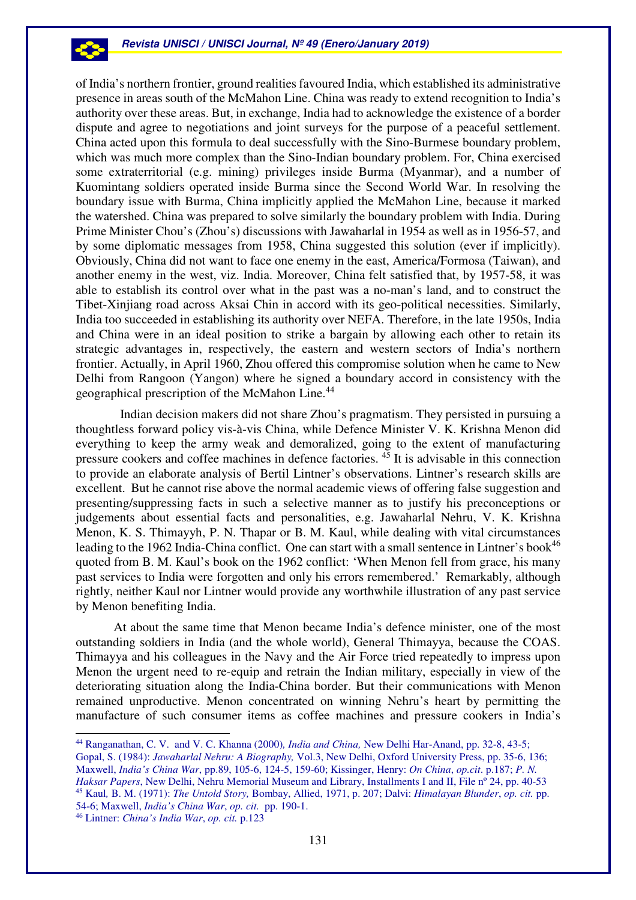of India's northern frontier, ground realities favoured India, which established its administrative presence in areas south of the McMahon Line. China was ready to extend recognition to India's authority over these areas. But, in exchange, India had to acknowledge the existence of a border dispute and agree to negotiations and joint surveys for the purpose of a peaceful settlement. China acted upon this formula to deal successfully with the Sino-Burmese boundary problem, which was much more complex than the Sino-Indian boundary problem. For, China exercised some extraterritorial (e.g. mining) privileges inside Burma (Myanmar), and a number of Kuomintang soldiers operated inside Burma since the Second World War. In resolving the boundary issue with Burma, China implicitly applied the McMahon Line, because it marked the watershed. China was prepared to solve similarly the boundary problem with India. During Prime Minister Chou's (Zhou's) discussions with Jawaharlal in 1954 as well as in 1956-57, and by some diplomatic messages from 1958, China suggested this solution (ever if implicitly). Obviously, China did not want to face one enemy in the east, America/Formosa (Taiwan), and another enemy in the west, viz. India. Moreover, China felt satisfied that, by 1957-58, it was able to establish its control over what in the past was a no-man's land, and to construct the Tibet-Xinjiang road across Aksai Chin in accord with its geo-political necessities. Similarly, India too succeeded in establishing its authority over NEFA. Therefore, in the late 1950s, India and China were in an ideal position to strike a bargain by allowing each other to retain its strategic advantages in, respectively, the eastern and western sectors of India's northern frontier. Actually, in April 1960, Zhou offered this compromise solution when he came to New Delhi from Rangoon (Yangon) where he signed a boundary accord in consistency with the geographical prescription of the McMahon Line.<sup>44</sup>

 Indian decision makers did not share Zhou's pragmatism. They persisted in pursuing a thoughtless forward policy vis-à-vis China, while Defence Minister V. K. Krishna Menon did everything to keep the army weak and demoralized, going to the extent of manufacturing pressure cookers and coffee machines in defence factories.  $45$  It is advisable in this connection to provide an elaborate analysis of Bertil Lintner's observations. Lintner's research skills are excellent. But he cannot rise above the normal academic views of offering false suggestion and presenting/suppressing facts in such a selective manner as to justify his preconceptions or judgements about essential facts and personalities, e.g. Jawaharlal Nehru, V. K. Krishna Menon, K. S. Thimayyh, P. N. Thapar or B. M. Kaul, while dealing with vital circumstances leading to the 1962 India-China conflict. One can start with a small sentence in Lintner's book<sup>46</sup> quoted from B. M. Kaul's book on the 1962 conflict: 'When Menon fell from grace, his many past services to India were forgotten and only his errors remembered.' Remarkably, although rightly, neither Kaul nor Lintner would provide any worthwhile illustration of any past service by Menon benefiting India.

At about the same time that Menon became India's defence minister, one of the most outstanding soldiers in India (and the whole world), General Thimayya, because the COAS. Thimayya and his colleagues in the Navy and the Air Force tried repeatedly to impress upon Menon the urgent need to re-equip and retrain the Indian military, especially in view of the deteriorating situation along the India-China border. But their communications with Menon remained unproductive. Menon concentrated on winning Nehru's heart by permitting the manufacture of such consumer items as coffee machines and pressure cookers in India's

<sup>44</sup> Ranganathan, C. V. and V. C. Khanna (2000)*, India and China,* New Delhi Har-Anand, pp. 32-8, 43-5;

Gopal, S. (1984): *Jawaharlal Nehru: A Biography,* Vol.3, New Delhi, Oxford University Press, pp. 35-6, 136; Maxwell, *India's China War*, pp.89, 105-6, 124-5, 159-60; Kissinger, Henry: *On China*, *op.cit*. p.187; *P. N. Haksar Papers*, New Delhi, Nehru Memorial Museum and Library, Installments I and II, File n° 24, pp. 40-53 <sup>45</sup> Kaul*,* B. M. (1971): *The Untold Story,* Bombay, Allied, 1971, p. 207; Dalvi: *Himalayan Blunder*, *op. cit.* pp. 54-6; Maxwell, *India's China War*, *op. cit.* pp. 190-1.

<sup>46</sup> Lintner: *China's India War*, *op. cit.* p.123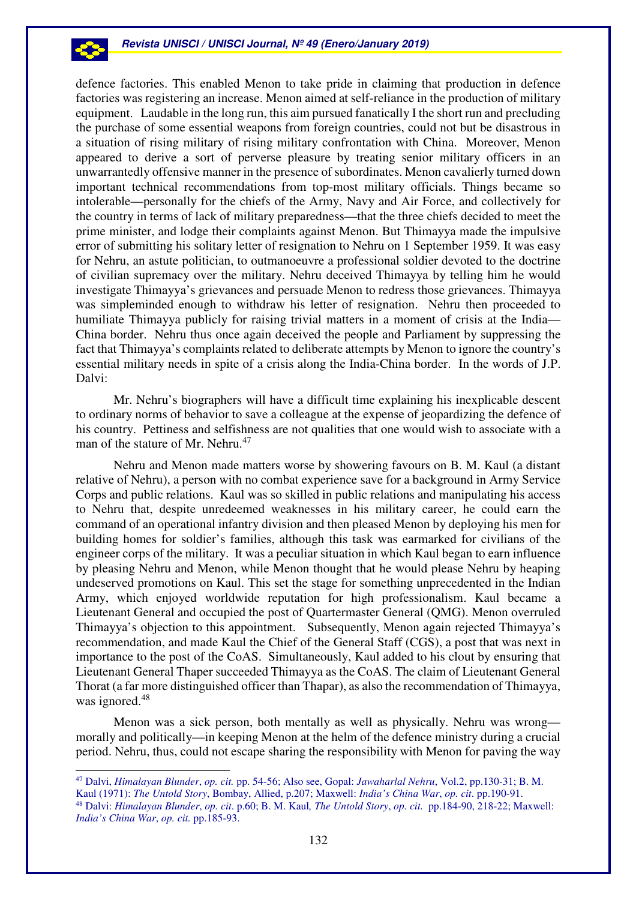defence factories. This enabled Menon to take pride in claiming that production in defence factories was registering an increase. Menon aimed at self-reliance in the production of military equipment. Laudable in the long run, this aim pursued fanatically I the short run and precluding the purchase of some essential weapons from foreign countries, could not but be disastrous in a situation of rising military of rising military confrontation with China. Moreover, Menon appeared to derive a sort of perverse pleasure by treating senior military officers in an unwarrantedly offensive manner in the presence of subordinates. Menon cavalierly turned down important technical recommendations from top-most military officials. Things became so intolerable—personally for the chiefs of the Army, Navy and Air Force, and collectively for the country in terms of lack of military preparedness—that the three chiefs decided to meet the prime minister, and lodge their complaints against Menon. But Thimayya made the impulsive error of submitting his solitary letter of resignation to Nehru on 1 September 1959. It was easy for Nehru, an astute politician, to outmanoeuvre a professional soldier devoted to the doctrine of civilian supremacy over the military. Nehru deceived Thimayya by telling him he would investigate Thimayya's grievances and persuade Menon to redress those grievances. Thimayya was simpleminded enough to withdraw his letter of resignation. Nehru then proceeded to humiliate Thimayya publicly for raising trivial matters in a moment of crisis at the India— China border. Nehru thus once again deceived the people and Parliament by suppressing the fact that Thimayya's complaints related to deliberate attempts by Menon to ignore the country's essential military needs in spite of a crisis along the India-China border. In the words of J.P. Dalvi:

Mr. Nehru's biographers will have a difficult time explaining his inexplicable descent to ordinary norms of behavior to save a colleague at the expense of jeopardizing the defence of his country. Pettiness and selfishness are not qualities that one would wish to associate with a man of the stature of Mr. Nehru.<sup>47</sup>

Nehru and Menon made matters worse by showering favours on B. M. Kaul (a distant relative of Nehru), a person with no combat experience save for a background in Army Service Corps and public relations. Kaul was so skilled in public relations and manipulating his access to Nehru that, despite unredeemed weaknesses in his military career, he could earn the command of an operational infantry division and then pleased Menon by deploying his men for building homes for soldier's families, although this task was earmarked for civilians of the engineer corps of the military. It was a peculiar situation in which Kaul began to earn influence by pleasing Nehru and Menon, while Menon thought that he would please Nehru by heaping undeserved promotions on Kaul. This set the stage for something unprecedented in the Indian Army, which enjoyed worldwide reputation for high professionalism. Kaul became a Lieutenant General and occupied the post of Quartermaster General (QMG). Menon overruled Thimayya's objection to this appointment. Subsequently, Menon again rejected Thimayya's recommendation, and made Kaul the Chief of the General Staff (CGS), a post that was next in importance to the post of the CoAS. Simultaneously, Kaul added to his clout by ensuring that Lieutenant General Thaper succeeded Thimayya as the CoAS. The claim of Lieutenant General Thorat (a far more distinguished officer than Thapar), as also the recommendation of Thimayya, was ignored.<sup>48</sup>

Menon was a sick person, both mentally as well as physically. Nehru was wrong morally and politically—in keeping Menon at the helm of the defence ministry during a crucial period. Nehru, thus, could not escape sharing the responsibility with Menon for paving the way

 $\overline{a}$ 

-23

<sup>47</sup> Dalvi, *Himalayan Blunder*, *op. cit.* pp. 54-56; Also see, Gopal: *Jawaharlal Nehru*, Vol.2, pp.130-31; B. M. Kaul (1971): *The Untold Story*, Bombay, Allied, p.207; Maxwell: *India's China War*, *op. cit*. pp.190-91. <sup>48</sup> Dalvi: *Himalayan Blunder*, *op. cit*. p.60; B. M. Kaul*, The Untold Story*, *op. cit.* pp.184-90, 218-22; Maxwell: *India's China War*, *op. cit.* pp.185-93.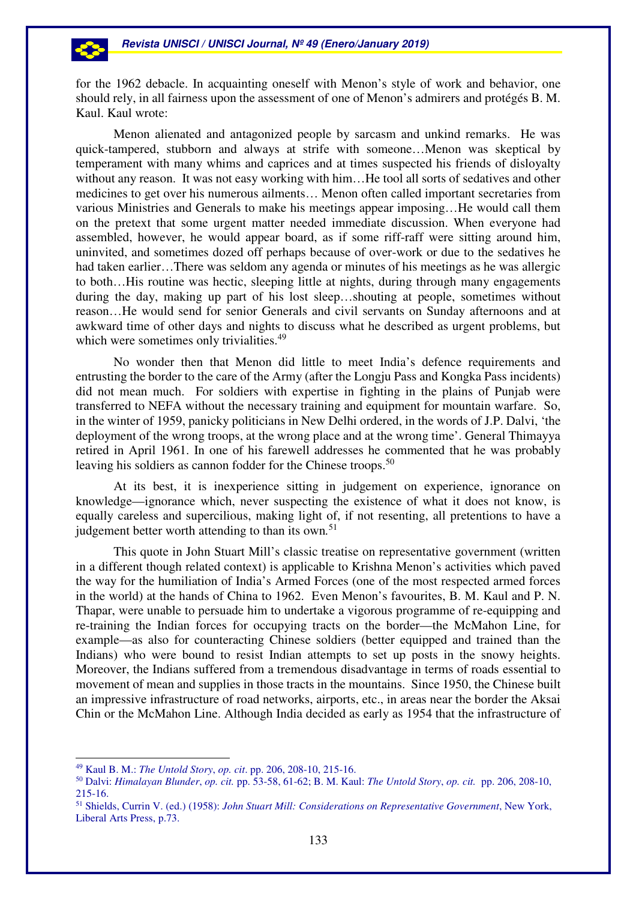for the 1962 debacle. In acquainting oneself with Menon's style of work and behavior, one should rely, in all fairness upon the assessment of one of Menon's admirers and protégés B. M. Kaul. Kaul wrote:

Menon alienated and antagonized people by sarcasm and unkind remarks. He was quick-tampered, stubborn and always at strife with someone…Menon was skeptical by temperament with many whims and caprices and at times suspected his friends of disloyalty without any reason. It was not easy working with him...He tool all sorts of sedatives and other medicines to get over his numerous ailments… Menon often called important secretaries from various Ministries and Generals to make his meetings appear imposing…He would call them on the pretext that some urgent matter needed immediate discussion. When everyone had assembled, however, he would appear board, as if some riff-raff were sitting around him, uninvited, and sometimes dozed off perhaps because of over-work or due to the sedatives he had taken earlier…There was seldom any agenda or minutes of his meetings as he was allergic to both…His routine was hectic, sleeping little at nights, during through many engagements during the day, making up part of his lost sleep…shouting at people, sometimes without reason…He would send for senior Generals and civil servants on Sunday afternoons and at awkward time of other days and nights to discuss what he described as urgent problems, but which were sometimes only trivialities.<sup>49</sup>

No wonder then that Menon did little to meet India's defence requirements and entrusting the border to the care of the Army (after the Longju Pass and Kongka Pass incidents) did not mean much. For soldiers with expertise in fighting in the plains of Punjab were transferred to NEFA without the necessary training and equipment for mountain warfare. So, in the winter of 1959, panicky politicians in New Delhi ordered, in the words of J.P. Dalvi, 'the deployment of the wrong troops, at the wrong place and at the wrong time'. General Thimayya retired in April 1961. In one of his farewell addresses he commented that he was probably leaving his soldiers as cannon fodder for the Chinese troops.<sup>50</sup>

At its best, it is inexperience sitting in judgement on experience, ignorance on knowledge—ignorance which, never suspecting the existence of what it does not know, is equally careless and supercilious, making light of, if not resenting, all pretentions to have a judgement better worth attending to than its own*.* 51

This quote in John Stuart Mill's classic treatise on representative government (written in a different though related context) is applicable to Krishna Menon's activities which paved the way for the humiliation of India's Armed Forces (one of the most respected armed forces in the world) at the hands of China to 1962. Even Menon's favourites, B. M. Kaul and P. N. Thapar, were unable to persuade him to undertake a vigorous programme of re-equipping and re-training the Indian forces for occupying tracts on the border—the McMahon Line, for example—as also for counteracting Chinese soldiers (better equipped and trained than the Indians) who were bound to resist Indian attempts to set up posts in the snowy heights. Moreover, the Indians suffered from a tremendous disadvantage in terms of roads essential to movement of mean and supplies in those tracts in the mountains. Since 1950, the Chinese built an impressive infrastructure of road networks, airports, etc., in areas near the border the Aksai Chin or the McMahon Line. Although India decided as early as 1954 that the infrastructure of

<sup>49</sup> Kaul B. M.: *The Untold Story*, *op. cit*. pp. 206, 208-10, 215-16.

<sup>50</sup> Dalvi: *Himalayan Blunder*, *op. cit.* pp. 53-58, 61-62; B. M. Kaul: *The Untold Story*, *op. cit.* pp. 206, 208-10, 215-16.

<sup>51</sup> Shields, Currin V. (ed.) (1958): *John Stuart Mill: Considerations on Representative Government*, New York, Liberal Arts Press, p.73.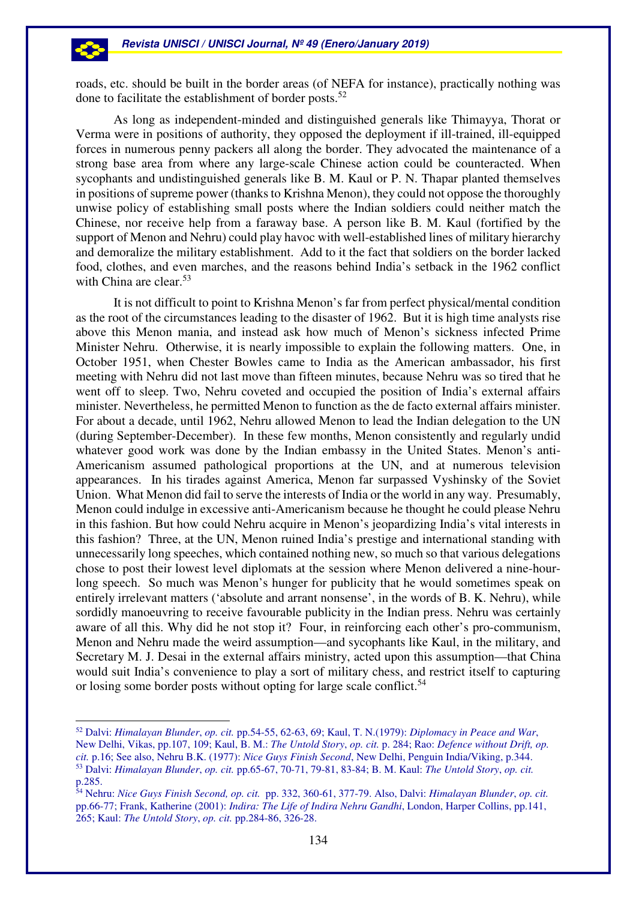roads, etc. should be built in the border areas (of NEFA for instance), practically nothing was done to facilitate the establishment of border posts.<sup>52</sup>

As long as independent-minded and distinguished generals like Thimayya, Thorat or Verma were in positions of authority, they opposed the deployment if ill-trained, ill-equipped forces in numerous penny packers all along the border. They advocated the maintenance of a strong base area from where any large-scale Chinese action could be counteracted. When sycophants and undistinguished generals like B. M. Kaul or P. N. Thapar planted themselves in positions of supreme power (thanks to Krishna Menon), they could not oppose the thoroughly unwise policy of establishing small posts where the Indian soldiers could neither match the Chinese, nor receive help from a faraway base. A person like B. M. Kaul (fortified by the support of Menon and Nehru) could play havoc with well-established lines of military hierarchy and demoralize the military establishment. Add to it the fact that soldiers on the border lacked food, clothes, and even marches, and the reasons behind India's setback in the 1962 conflict with China are clear.<sup>53</sup>

It is not difficult to point to Krishna Menon's far from perfect physical/mental condition as the root of the circumstances leading to the disaster of 1962. But it is high time analysts rise above this Menon mania, and instead ask how much of Menon's sickness infected Prime Minister Nehru. Otherwise, it is nearly impossible to explain the following matters. One, in October 1951, when Chester Bowles came to India as the American ambassador, his first meeting with Nehru did not last move than fifteen minutes, because Nehru was so tired that he went off to sleep. Two, Nehru coveted and occupied the position of India's external affairs minister. Nevertheless, he permitted Menon to function as the de facto external affairs minister. For about a decade, until 1962, Nehru allowed Menon to lead the Indian delegation to the UN (during September-December). In these few months, Menon consistently and regularly undid whatever good work was done by the Indian embassy in the United States. Menon's anti-Americanism assumed pathological proportions at the UN, and at numerous television appearances. In his tirades against America, Menon far surpassed Vyshinsky of the Soviet Union. What Menon did fail to serve the interests of India or the world in any way. Presumably, Menon could indulge in excessive anti-Americanism because he thought he could please Nehru in this fashion. But how could Nehru acquire in Menon's jeopardizing India's vital interests in this fashion? Three, at the UN, Menon ruined India's prestige and international standing with unnecessarily long speeches, which contained nothing new, so much so that various delegations chose to post their lowest level diplomats at the session where Menon delivered a nine-hourlong speech. So much was Menon's hunger for publicity that he would sometimes speak on entirely irrelevant matters ('absolute and arrant nonsense', in the words of B. K. Nehru), while sordidly manoeuvring to receive favourable publicity in the Indian press. Nehru was certainly aware of all this. Why did he not stop it? Four, in reinforcing each other's pro-communism, Menon and Nehru made the weird assumption—and sycophants like Kaul, in the military, and Secretary M. J. Desai in the external affairs ministry, acted upon this assumption—that China would suit India's convenience to play a sort of military chess, and restrict itself to capturing or losing some border posts without opting for large scale conflict.<sup>54</sup>

<sup>52</sup> Dalvi: *Himalayan Blunder*, *op. cit.* pp.54-55, 62-63, 69; Kaul, T. N.(1979): *Diplomacy in Peace and War*, New Delhi, Vikas, pp.107, 109; Kaul, B. M.: *The Untold Story*, *op. cit.* p. 284; Rao: *Defence without Drift, op. cit.* p.16; See also, Nehru B.K. (1977): *Nice Guys Finish Second*, New Delhi, Penguin India/Viking, p.344. <sup>53</sup> Dalvi: *Himalayan Blunder*, *op. cit.* pp.65-67, 70-71, 79-81, 83-84; B. M. Kaul: *The Untold Story*, *op. cit.* p.285.

<sup>54</sup> Nehru: *Nice Guys Finish Second, op. cit.* pp. 332, 360-61, 377-79. Also, Dalvi: *Himalayan Blunder*, *op. cit.* pp.66-77; Frank, Katherine (2001): *Indira: The Life of Indira Nehru Gandhi*, London, Harper Collins, pp.141, 265; Kaul: *The Untold Story*, *op. cit.* pp.284-86, 326-28.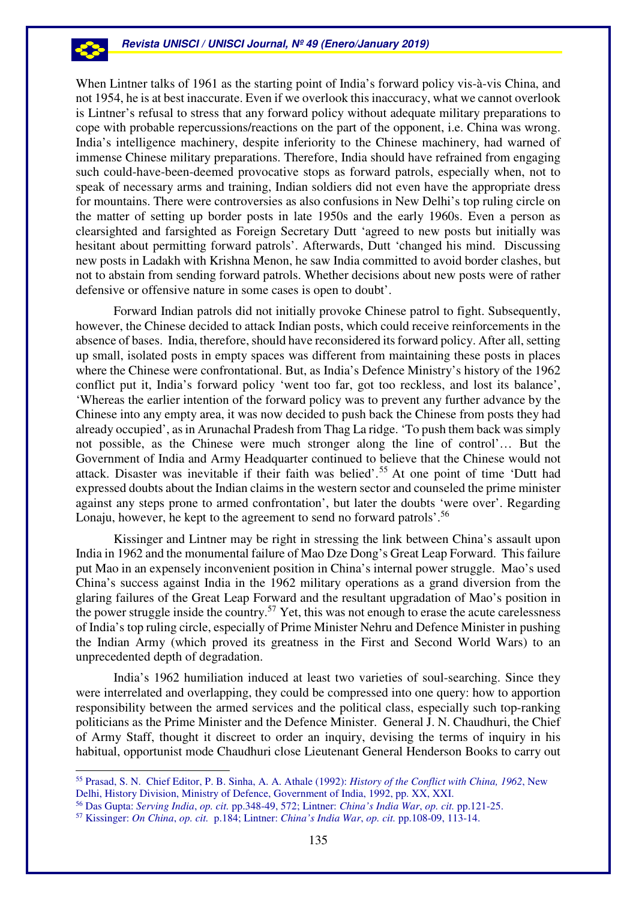-23

 $\overline{a}$ 

When Lintner talks of 1961 as the starting point of India's forward policy vis-à-vis China, and not 1954, he is at best inaccurate. Even if we overlook this inaccuracy, what we cannot overlook is Lintner's refusal to stress that any forward policy without adequate military preparations to cope with probable repercussions/reactions on the part of the opponent, i.e. China was wrong. India's intelligence machinery, despite inferiority to the Chinese machinery, had warned of immense Chinese military preparations. Therefore, India should have refrained from engaging such could-have-been-deemed provocative stops as forward patrols, especially when, not to speak of necessary arms and training, Indian soldiers did not even have the appropriate dress for mountains. There were controversies as also confusions in New Delhi's top ruling circle on the matter of setting up border posts in late 1950s and the early 1960s. Even a person as clearsighted and farsighted as Foreign Secretary Dutt 'agreed to new posts but initially was hesitant about permitting forward patrols'. Afterwards, Dutt 'changed his mind. Discussing new posts in Ladakh with Krishna Menon, he saw India committed to avoid border clashes, but not to abstain from sending forward patrols. Whether decisions about new posts were of rather defensive or offensive nature in some cases is open to doubt'.

Forward Indian patrols did not initially provoke Chinese patrol to fight. Subsequently, however, the Chinese decided to attack Indian posts, which could receive reinforcements in the absence of bases. India, therefore, should have reconsidered its forward policy. After all, setting up small, isolated posts in empty spaces was different from maintaining these posts in places where the Chinese were confrontational. But, as India's Defence Ministry's history of the 1962 conflict put it, India's forward policy 'went too far, got too reckless, and lost its balance', 'Whereas the earlier intention of the forward policy was to prevent any further advance by the Chinese into any empty area, it was now decided to push back the Chinese from posts they had already occupied', as in Arunachal Pradesh from Thag La ridge. 'To push them back was simply not possible, as the Chinese were much stronger along the line of control'… But the Government of India and Army Headquarter continued to believe that the Chinese would not attack. Disaster was inevitable if their faith was belied'.<sup>55</sup> At one point of time 'Dutt had expressed doubts about the Indian claims in the western sector and counseled the prime minister against any steps prone to armed confrontation', but later the doubts 'were over'. Regarding Lonaju, however, he kept to the agreement to send no forward patrols'.<sup>56</sup>

Kissinger and Lintner may be right in stressing the link between China's assault upon India in 1962 and the monumental failure of Mao Dze Dong's Great Leap Forward. This failure put Mao in an expensely inconvenient position in China's internal power struggle. Mao's used China's success against India in the 1962 military operations as a grand diversion from the glaring failures of the Great Leap Forward and the resultant upgradation of Mao's position in the power struggle inside the country.<sup>57</sup> Yet, this was not enough to erase the acute carelessness of India's top ruling circle, especially of Prime Minister Nehru and Defence Minister in pushing the Indian Army (which proved its greatness in the First and Second World Wars) to an unprecedented depth of degradation.

India's 1962 humiliation induced at least two varieties of soul-searching. Since they were interrelated and overlapping, they could be compressed into one query: how to apportion responsibility between the armed services and the political class, especially such top-ranking politicians as the Prime Minister and the Defence Minister. General J. N. Chaudhuri, the Chief of Army Staff, thought it discreet to order an inquiry, devising the terms of inquiry in his habitual, opportunist mode Chaudhuri close Lieutenant General Henderson Books to carry out

<sup>55</sup> Prasad, S. N. Chief Editor, P. B. Sinha, A. A. Athale (1992): *History of the Conflict with China, 1962*, New Delhi, History Division, Ministry of Defence, Government of India, 1992, pp. XX, XXI.

<sup>56</sup> Das Gupta: *Serving India*, *op. cit.* pp.348-49, 572; Lintner: *China's India War*, *op. cit.* pp.121-25.

<sup>57</sup> Kissinger: *On China*, *op. cit.* p.184; Lintner: *China's India War*, *op. cit.* pp.108-09, 113-14.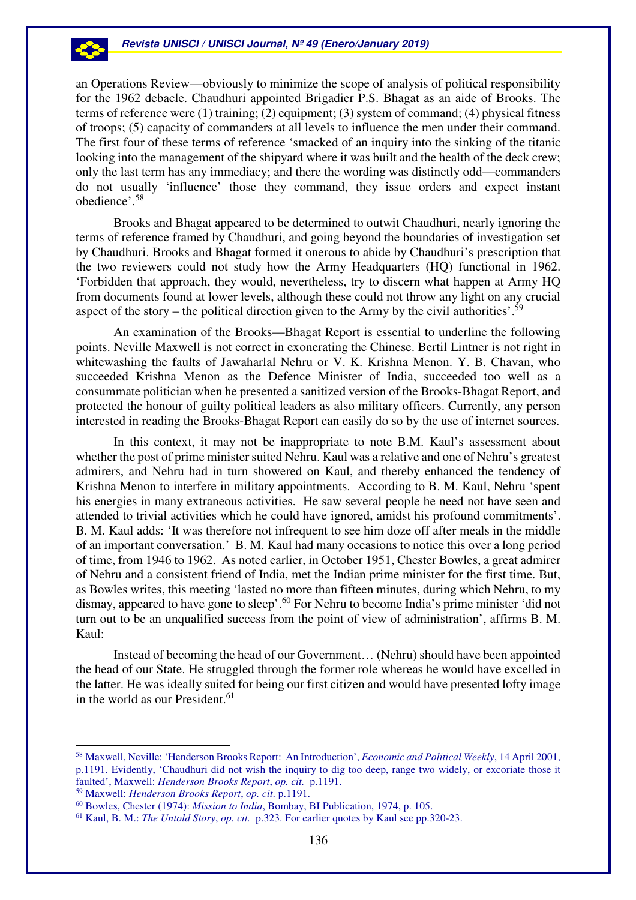

an Operations Review—obviously to minimize the scope of analysis of political responsibility for the 1962 debacle. Chaudhuri appointed Brigadier P.S. Bhagat as an aide of Brooks. The terms of reference were (1) training; (2) equipment; (3) system of command; (4) physical fitness of troops; (5) capacity of commanders at all levels to influence the men under their command. The first four of these terms of reference 'smacked of an inquiry into the sinking of the titanic looking into the management of the shipyard where it was built and the health of the deck crew; only the last term has any immediacy; and there the wording was distinctly odd—commanders do not usually 'influence' those they command, they issue orders and expect instant obedience'.<sup>58</sup>

Brooks and Bhagat appeared to be determined to outwit Chaudhuri, nearly ignoring the terms of reference framed by Chaudhuri, and going beyond the boundaries of investigation set by Chaudhuri. Brooks and Bhagat formed it onerous to abide by Chaudhuri's prescription that the two reviewers could not study how the Army Headquarters (HQ) functional in 1962. 'Forbidden that approach, they would, nevertheless, try to discern what happen at Army HQ from documents found at lower levels, although these could not throw any light on any crucial aspect of the story – the political direction given to the Army by the civil authorities'.<sup>59</sup>

An examination of the Brooks—Bhagat Report is essential to underline the following points. Neville Maxwell is not correct in exonerating the Chinese. Bertil Lintner is not right in whitewashing the faults of Jawaharlal Nehru or V. K. Krishna Menon. Y. B. Chavan, who succeeded Krishna Menon as the Defence Minister of India, succeeded too well as a consummate politician when he presented a sanitized version of the Brooks-Bhagat Report, and protected the honour of guilty political leaders as also military officers. Currently, any person interested in reading the Brooks-Bhagat Report can easily do so by the use of internet sources.

In this context, it may not be inappropriate to note B.M. Kaul's assessment about whether the post of prime minister suited Nehru. Kaul was a relative and one of Nehru's greatest admirers, and Nehru had in turn showered on Kaul, and thereby enhanced the tendency of Krishna Menon to interfere in military appointments. According to B. M. Kaul, Nehru 'spent his energies in many extraneous activities. He saw several people he need not have seen and attended to trivial activities which he could have ignored, amidst his profound commitments'. B. M. Kaul adds: 'It was therefore not infrequent to see him doze off after meals in the middle of an important conversation.' B. M. Kaul had many occasions to notice this over a long period of time, from 1946 to 1962. As noted earlier, in October 1951, Chester Bowles, a great admirer of Nehru and a consistent friend of India, met the Indian prime minister for the first time. But, as Bowles writes, this meeting 'lasted no more than fifteen minutes, during which Nehru, to my dismay, appeared to have gone to sleep'.<sup>60</sup> For Nehru to become India's prime minister 'did not turn out to be an unqualified success from the point of view of administration', affirms B. M. Kaul:

Instead of becoming the head of our Government… (Nehru) should have been appointed the head of our State. He struggled through the former role whereas he would have excelled in the latter. He was ideally suited for being our first citizen and would have presented lofty image in the world as our President.  $61$ 

<sup>58</sup> Maxwell, Neville: 'Henderson Brooks Report: An Introduction', *Economic and Political Weekly*, 14 April 2001, p.1191. Evidently, 'Chaudhuri did not wish the inquiry to dig too deep, range two widely, or excoriate those it faulted', Maxwell: *Henderson Brooks Report*, *op. cit.* p.1191.

<sup>59</sup> Maxwell: *Henderson Brooks Report*, *op. cit*. p.1191.

<sup>60</sup> Bowles, Chester (1974): *Mission to India*, Bombay, BI Publication, 1974, p. 105.

<sup>61</sup> Kaul, B. M.: *The Untold Story*, *op. cit.* p.323. For earlier quotes by Kaul see pp.320-23.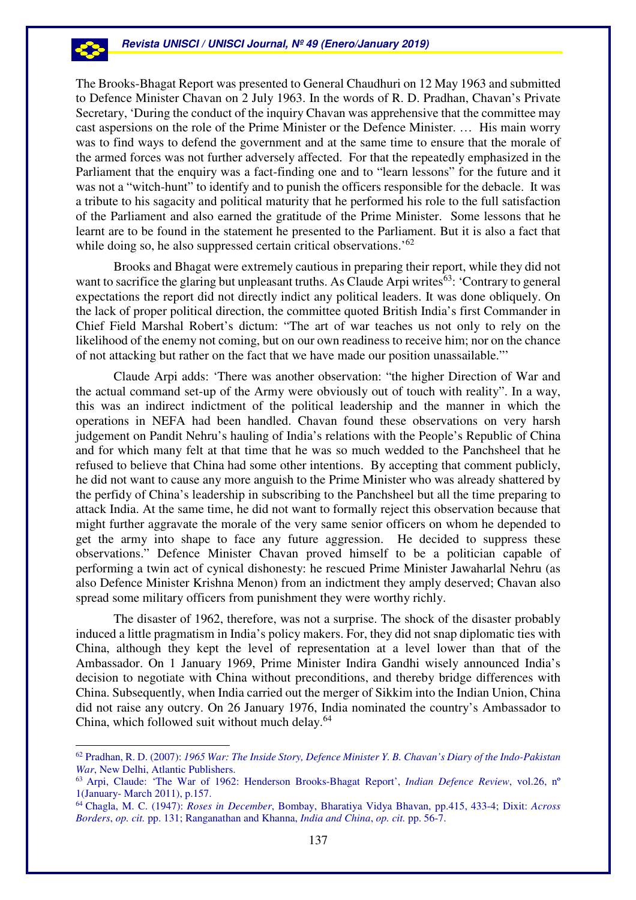The Brooks-Bhagat Report was presented to General Chaudhuri on 12 May 1963 and submitted to Defence Minister Chavan on 2 July 1963. In the words of R. D. Pradhan, Chavan's Private Secretary, 'During the conduct of the inquiry Chavan was apprehensive that the committee may cast aspersions on the role of the Prime Minister or the Defence Minister. … His main worry was to find ways to defend the government and at the same time to ensure that the morale of the armed forces was not further adversely affected. For that the repeatedly emphasized in the Parliament that the enquiry was a fact-finding one and to "learn lessons" for the future and it was not a "witch-hunt" to identify and to punish the officers responsible for the debacle. It was a tribute to his sagacity and political maturity that he performed his role to the full satisfaction of the Parliament and also earned the gratitude of the Prime Minister. Some lessons that he learnt are to be found in the statement he presented to the Parliament. But it is also a fact that while doing so, he also suppressed certain critical observations.<sup>'62</sup>

Brooks and Bhagat were extremely cautious in preparing their report, while they did not want to sacrifice the glaring but unpleasant truths. As Claude Arpi writes $63$ : 'Contrary to general expectations the report did not directly indict any political leaders. It was done obliquely. On the lack of proper political direction, the committee quoted British India's first Commander in Chief Field Marshal Robert's dictum: "The art of war teaches us not only to rely on the likelihood of the enemy not coming, but on our own readiness to receive him; nor on the chance of not attacking but rather on the fact that we have made our position unassailable."'

Claude Arpi adds: 'There was another observation: "the higher Direction of War and the actual command set-up of the Army were obviously out of touch with reality". In a way, this was an indirect indictment of the political leadership and the manner in which the operations in NEFA had been handled. Chavan found these observations on very harsh judgement on Pandit Nehru's hauling of India's relations with the People's Republic of China and for which many felt at that time that he was so much wedded to the Panchsheel that he refused to believe that China had some other intentions. By accepting that comment publicly, he did not want to cause any more anguish to the Prime Minister who was already shattered by the perfidy of China's leadership in subscribing to the Panchsheel but all the time preparing to attack India. At the same time, he did not want to formally reject this observation because that might further aggravate the morale of the very same senior officers on whom he depended to get the army into shape to face any future aggression. He decided to suppress these observations." Defence Minister Chavan proved himself to be a politician capable of performing a twin act of cynical dishonesty: he rescued Prime Minister Jawaharlal Nehru (as also Defence Minister Krishna Menon) from an indictment they amply deserved; Chavan also spread some military officers from punishment they were worthy richly.

The disaster of 1962, therefore, was not a surprise. The shock of the disaster probably induced a little pragmatism in India's policy makers. For, they did not snap diplomatic ties with China, although they kept the level of representation at a level lower than that of the Ambassador. On 1 January 1969, Prime Minister Indira Gandhi wisely announced India's decision to negotiate with China without preconditions, and thereby bridge differences with China. Subsequently, when India carried out the merger of Sikkim into the Indian Union, China did not raise any outcry. On 26 January 1976, India nominated the country's Ambassador to China, which followed suit without much delay.<sup>64</sup>

 $\overline{a}$ 

-23

<sup>62</sup> Pradhan, R. D. (2007): *1965 War: The Inside Story, Defence Minister Y. B. Chavan's Diary of the Indo-Pakistan War*, New Delhi, Atlantic Publishers.

<sup>63</sup> Arpi, Claude: 'The War of 1962: Henderson Brooks-Bhagat Report', *Indian Defence Review*, vol.26, nº 1(January- March 2011), p.157.

<sup>64</sup> Chagla, M. C. (1947): *Roses in December*, Bombay, Bharatiya Vidya Bhavan, pp.415, 433-4; Dixit: *Across Borders*, *op. cit.* pp. 131; Ranganathan and Khanna, *India and China*, *op. cit.* pp. 56-7.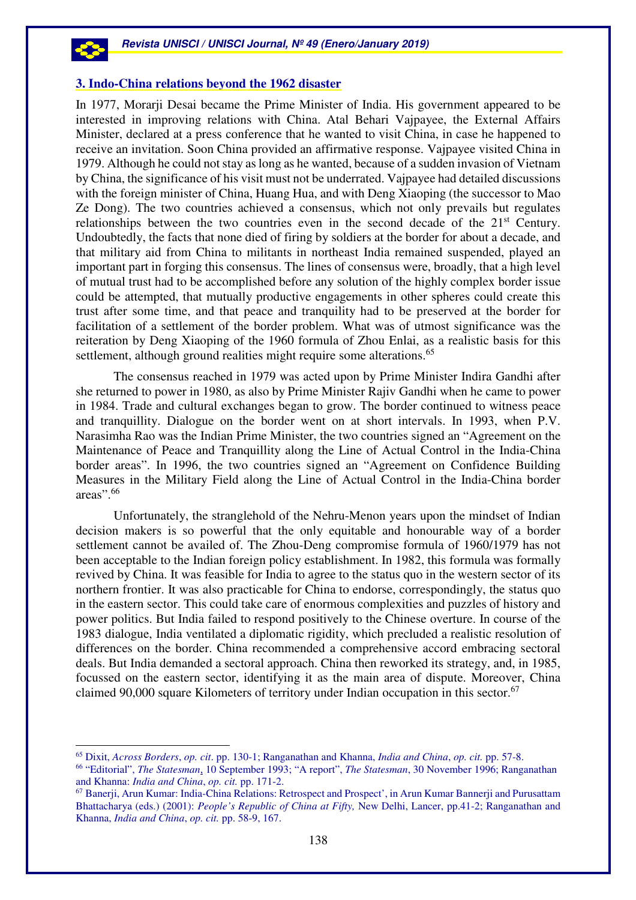$\overline{a}$ 

#### **3. Indo-China relations beyond the 1962 disaster**

In 1977, Morarji Desai became the Prime Minister of India. His government appeared to be interested in improving relations with China. Atal Behari Vajpayee, the External Affairs Minister, declared at a press conference that he wanted to visit China, in case he happened to receive an invitation. Soon China provided an affirmative response. Vajpayee visited China in 1979. Although he could not stay as long as he wanted, because of a sudden invasion of Vietnam by China, the significance of his visit must not be underrated. Vajpayee had detailed discussions with the foreign minister of China, Huang Hua, and with Deng Xiaoping (the successor to Mao Ze Dong). The two countries achieved a consensus, which not only prevails but regulates relationships between the two countries even in the second decade of the 21<sup>st</sup> Century. Undoubtedly, the facts that none died of firing by soldiers at the border for about a decade, and that military aid from China to militants in northeast India remained suspended, played an important part in forging this consensus. The lines of consensus were, broadly, that a high level of mutual trust had to be accomplished before any solution of the highly complex border issue could be attempted, that mutually productive engagements in other spheres could create this trust after some time, and that peace and tranquility had to be preserved at the border for facilitation of a settlement of the border problem. What was of utmost significance was the reiteration by Deng Xiaoping of the 1960 formula of Zhou Enlai, as a realistic basis for this settlement, although ground realities might require some alterations.<sup>65</sup>

The consensus reached in 1979 was acted upon by Prime Minister Indira Gandhi after she returned to power in 1980, as also by Prime Minister Rajiv Gandhi when he came to power in 1984. Trade and cultural exchanges began to grow. The border continued to witness peace and tranquillity. Dialogue on the border went on at short intervals. In 1993, when P.V. Narasimha Rao was the Indian Prime Minister, the two countries signed an "Agreement on the Maintenance of Peace and Tranquillity along the Line of Actual Control in the India-China border areas". In 1996, the two countries signed an "Agreement on Confidence Building Measures in the Military Field along the Line of Actual Control in the India-China border areas".<sup>66</sup>

 Unfortunately, the stranglehold of the Nehru-Menon years upon the mindset of Indian decision makers is so powerful that the only equitable and honourable way of a border settlement cannot be availed of. The Zhou-Deng compromise formula of 1960/1979 has not been acceptable to the Indian foreign policy establishment. In 1982, this formula was formally revived by China. It was feasible for India to agree to the status quo in the western sector of its northern frontier. It was also practicable for China to endorse, correspondingly, the status quo in the eastern sector. This could take care of enormous complexities and puzzles of history and power politics. But India failed to respond positively to the Chinese overture. In course of the 1983 dialogue, India ventilated a diplomatic rigidity, which precluded a realistic resolution of differences on the border. China recommended a comprehensive accord embracing sectoral deals. But India demanded a sectoral approach. China then reworked its strategy, and, in 1985, focussed on the eastern sector, identifying it as the main area of dispute. Moreover, China claimed 90,000 square Kilometers of territory under Indian occupation in this sector.<sup>67</sup>

<sup>65</sup> Dixit, *Across Borders*, *op. cit*. pp. 130-1; Ranganathan and Khanna, *India and China*, *op. cit.* pp. 57-8.

<sup>66</sup> "Editorial", *The Statesman*, 10 September 1993; "A report", *The Statesman*, 30 November 1996; Ranganathan and Khanna: *India and China*, *op. cit.* pp. 171-2.

<sup>67</sup> Banerji, Arun Kumar: India-China Relations: Retrospect and Prospect', in Arun Kumar Bannerji and Purusattam Bhattacharya (eds.) (2001): *People's Republic of China at Fifty,* New Delhi, Lancer, pp.41-2; Ranganathan and Khanna, *India and China*, *op. cit.* pp. 58-9, 167.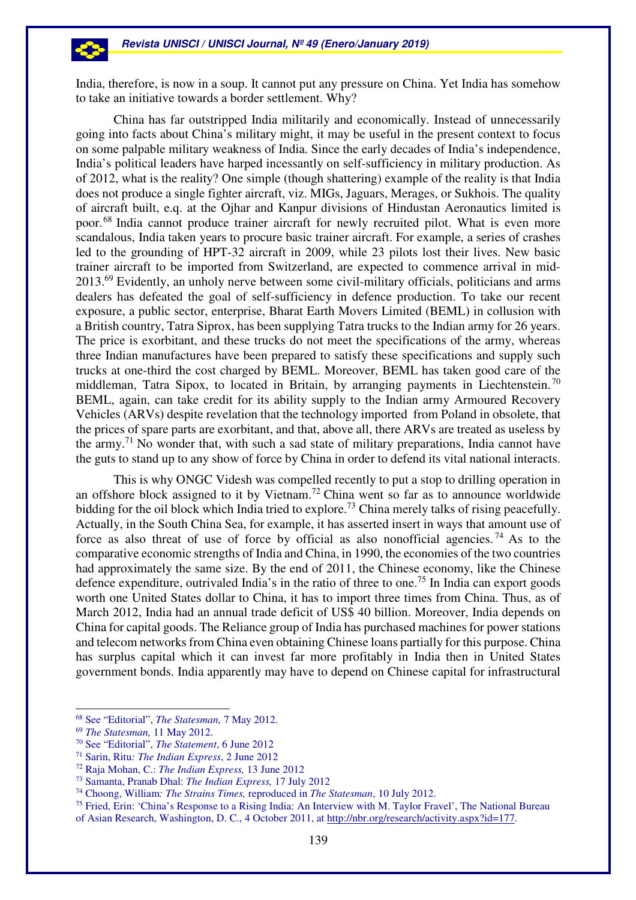India, therefore, is now in a soup. It cannot put any pressure on China. Yet India has somehow to take an initiative towards a border settlement. Why?

China has far outstripped India militarily and economically. Instead of unnecessarily going into facts about China's military might, it may be useful in the present context to focus on some palpable military weakness of India. Since the early decades of India's independence, India's political leaders have harped incessantly on self-sufficiency in military production. As of 2012, what is the reality? One simple (though shattering) example of the reality is that India does not produce a single fighter aircraft, viz. MIGs, Jaguars, Merages, or Sukhois. The quality of aircraft built, e.q. at the Ojhar and Kanpur divisions of Hindustan Aeronautics limited is poor.<sup>68</sup> India cannot produce trainer aircraft for newly recruited pilot. What is even more scandalous, India taken years to procure basic trainer aircraft. For example, a series of crashes led to the grounding of HPT-32 aircraft in 2009, while 23 pilots lost their lives. New basic trainer aircraft to be imported from Switzerland, are expected to commence arrival in mid-2013.<sup>69</sup> Evidently, an unholy nerve between some civil-military officials, politicians and arms dealers has defeated the goal of self-sufficiency in defence production. To take our recent exposure, a public sector, enterprise, Bharat Earth Movers Limited (BEML) in collusion with a British country, Tatra Siprox, has been supplying Tatra trucks to the Indian army for 26 years. The price is exorbitant, and these trucks do not meet the specifications of the army, whereas three Indian manufactures have been prepared to satisfy these specifications and supply such trucks at one-third the cost charged by BEML. Moreover, BEML has taken good care of the middleman, Tatra Sipox, to located in Britain, by arranging payments in Liechtenstein.<sup>70</sup> BEML, again, can take credit for its ability supply to the Indian army Armoured Recovery Vehicles (ARVs) despite revelation that the technology imported from Poland in obsolete, that the prices of spare parts are exorbitant, and that, above all, there ARVs are treated as useless by the army.<sup>71</sup> No wonder that, with such a sad state of military preparations, India cannot have the guts to stand up to any show of force by China in order to defend its vital national interacts.

This is why ONGC Videsh was compelled recently to put a stop to drilling operation in an offshore block assigned to it by Vietnam.<sup>72</sup> China went so far as to announce worldwide bidding for the oil block which India tried to explore.<sup>73</sup> China merely talks of rising peacefully. Actually, in the South China Sea, for example, it has asserted insert in ways that amount use of force as also threat of use of force by official as also nonofficial agencies.<sup>74</sup> As to the comparative economic strengths of India and China, in 1990, the economies of the two countries had approximately the same size. By the end of 2011, the Chinese economy, like the Chinese defence expenditure, outrivaled India's in the ratio of three to one.<sup>75</sup> In India can export goods worth one United States dollar to China, it has to import three times from China. Thus, as of March 2012, India had an annual trade deficit of US\$ 40 billion. Moreover, India depends on China for capital goods. The Reliance group of India has purchased machines for power stations and telecom networks from China even obtaining Chinese loans partially for this purpose. China has surplus capital which it can invest far more profitably in India then in United States government bonds. India apparently may have to depend on Chinese capital for infrastructural

<sup>68</sup> See "Editorial", *The Statesman,* 7 May 2012.

<sup>69</sup> *The Statesman,* 11 May 2012.

<sup>70</sup> See "Editorial", *The Statement*, 6 June 2012

<sup>71</sup> Sarin, Ritu*: The Indian Express*, 2 June 2012

<sup>72</sup> Raja Mohan, C.: *The Indian Express,* 13 June 2012

<sup>73</sup> Samanta, Pranab Dhal: *The Indian Express,* 17 July 2012

<sup>74</sup> Choong, William*: The Strains Times,* reproduced in *The Statesman*, 10 July 2012.

<sup>75</sup> Fried, Erin: 'China's Response to a Rising India: An Interview with M. Taylor Fravel', The National Bureau of Asian Research, Washington, D. C., 4 October 2011, at http://nbr.org/research/activity.aspx?id=177.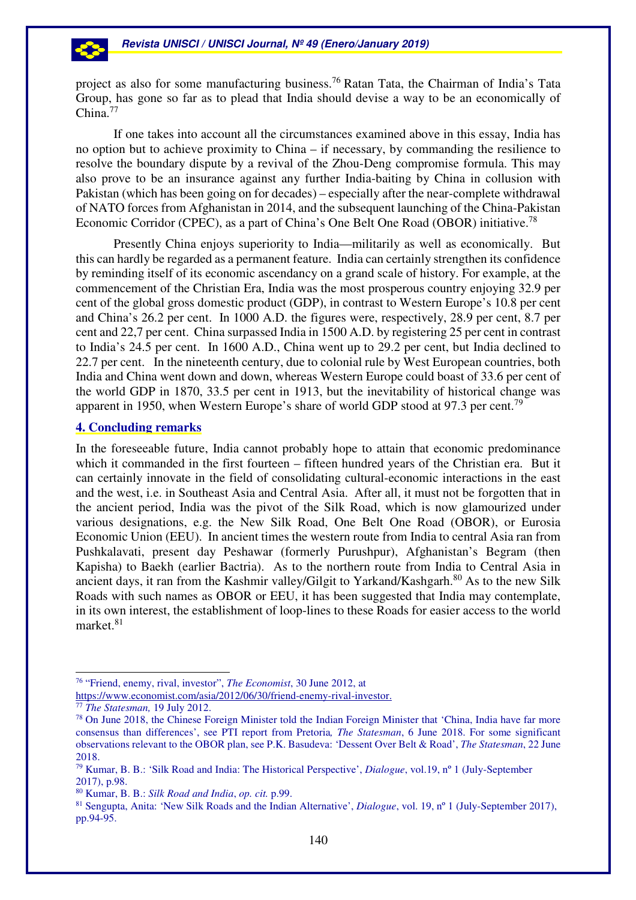project as also for some manufacturing business.<sup>76</sup> Ratan Tata, the Chairman of India's Tata Group, has gone so far as to plead that India should devise a way to be an economically of China.<sup>77</sup>

If one takes into account all the circumstances examined above in this essay, India has no option but to achieve proximity to China – if necessary, by commanding the resilience to resolve the boundary dispute by a revival of the Zhou-Deng compromise formula. This may also prove to be an insurance against any further India-baiting by China in collusion with Pakistan (which has been going on for decades) – especially after the near-complete withdrawal of NATO forces from Afghanistan in 2014, and the subsequent launching of the China-Pakistan Economic Corridor (CPEC), as a part of China's One Belt One Road (OBOR) initiative.<sup>78</sup>

Presently China enjoys superiority to India—militarily as well as economically. But this can hardly be regarded as a permanent feature. India can certainly strengthen its confidence by reminding itself of its economic ascendancy on a grand scale of history. For example, at the commencement of the Christian Era, India was the most prosperous country enjoying 32.9 per cent of the global gross domestic product (GDP), in contrast to Western Europe's 10.8 per cent and China's 26.2 per cent. In 1000 A.D. the figures were, respectively, 28.9 per cent, 8.7 per cent and 22,7 per cent. China surpassed India in 1500 A.D. by registering 25 per cent in contrast to India's 24.5 per cent. In 1600 A.D., China went up to 29.2 per cent, but India declined to 22.7 per cent. In the nineteenth century, due to colonial rule by West European countries, both India and China went down and down, whereas Western Europe could boast of 33.6 per cent of the world GDP in 1870, 33.5 per cent in 1913, but the inevitability of historical change was apparent in 1950, when Western Europe's share of world GDP stood at 97.3 per cent.<sup>79</sup>

### **4. Concluding remarks**

In the foreseeable future, India cannot probably hope to attain that economic predominance which it commanded in the first fourteen – fifteen hundred years of the Christian era. But it can certainly innovate in the field of consolidating cultural-economic interactions in the east and the west, i.e. in Southeast Asia and Central Asia. After all, it must not be forgotten that in the ancient period, India was the pivot of the Silk Road, which is now glamourized under various designations, e.g. the New Silk Road, One Belt One Road (OBOR), or Eurosia Economic Union (EEU). In ancient times the western route from India to central Asia ran from Pushkalavati, present day Peshawar (formerly Purushpur), Afghanistan's Begram (then Kapisha) to Baekh (earlier Bactria). As to the northern route from India to Central Asia in ancient days, it ran from the Kashmir valley/Gilgit to Yarkand/Kashgarh.<sup>80</sup> As to the new Silk Roads with such names as OBOR or EEU, it has been suggested that India may contemplate, in its own interest, the establishment of loop-lines to these Roads for easier access to the world market.<sup>81</sup>

<sup>76</sup> "Friend, enemy, rival, investor", *The Economist*, 30 June 2012, at

https://www.economist.com/asia/2012/06/30/friend-enemy-rival-investor.

<sup>77</sup> *The Statesman,* 19 July 2012.

<sup>78</sup> On June 2018, the Chinese Foreign Minister told the Indian Foreign Minister that 'China, India have far more consensus than differences', see PTI report from Pretoria*, The Statesman*, 6 June 2018. For some significant observations relevant to the OBOR plan, see P.K. Basudeva: 'Dessent Over Belt & Road', *The Statesman*, 22 June 2018.

<sup>79</sup> Kumar, B. B.: 'Silk Road and India: The Historical Perspective', *Dialogue*, vol.19, nº 1 (July-September 2017), p.98.

<sup>80</sup> Kumar, B. B.: *Silk Road and India*, *op. cit.* p.99.

<sup>81</sup> Sengupta, Anita: 'New Silk Roads and the Indian Alternative', *Dialogue*, vol. 19, nº 1 (July-September 2017), pp.94-95.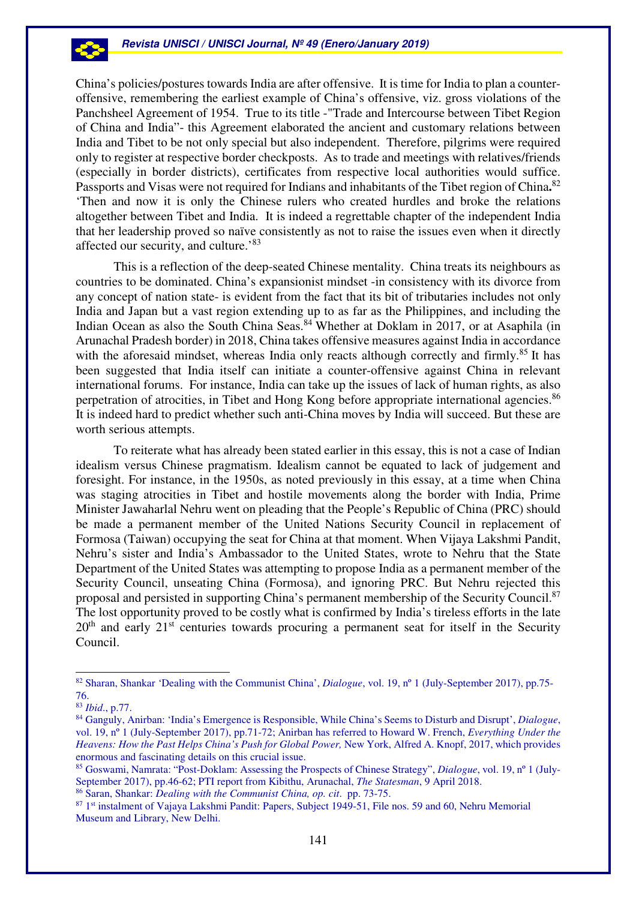China's policies/postures towards India are after offensive. It is time for India to plan a counteroffensive, remembering the earliest example of China's offensive, viz. gross violations of the Panchsheel Agreement of 1954. True to its title -"Trade and Intercourse between Tibet Region of China and India"- this Agreement elaborated the ancient and customary relations between India and Tibet to be not only special but also independent. Therefore, pilgrims were required only to register at respective border checkposts. As to trade and meetings with relatives/friends (especially in border districts), certificates from respective local authorities would suffice. Passports and Visas were not required for Indians and inhabitants of the Tibet region of China.<sup>82</sup> 'Then and now it is only the Chinese rulers who created hurdles and broke the relations altogether between Tibet and India. It is indeed a regrettable chapter of the independent India that her leadership proved so naïve consistently as not to raise the issues even when it directly affected our security, and culture.'<sup>83</sup>

This is a reflection of the deep-seated Chinese mentality. China treats its neighbours as countries to be dominated. China's expansionist mindset -in consistency with its divorce from any concept of nation state- is evident from the fact that its bit of tributaries includes not only India and Japan but a vast region extending up to as far as the Philippines, and including the Indian Ocean as also the South China Seas.<sup>84</sup> Whether at Doklam in 2017, or at Asaphila (in Arunachal Pradesh border) in 2018, China takes offensive measures against India in accordance with the aforesaid mindset, whereas India only reacts although correctly and firmly.<sup>85</sup> It has been suggested that India itself can initiate a counter-offensive against China in relevant international forums. For instance, India can take up the issues of lack of human rights, as also perpetration of atrocities, in Tibet and Hong Kong before appropriate international agencies.<sup>86</sup> It is indeed hard to predict whether such anti-China moves by India will succeed. But these are worth serious attempts.

To reiterate what has already been stated earlier in this essay, this is not a case of Indian idealism versus Chinese pragmatism. Idealism cannot be equated to lack of judgement and foresight. For instance, in the 1950s, as noted previously in this essay, at a time when China was staging atrocities in Tibet and hostile movements along the border with India, Prime Minister Jawaharlal Nehru went on pleading that the People's Republic of China (PRC) should be made a permanent member of the United Nations Security Council in replacement of Formosa (Taiwan) occupying the seat for China at that moment. When Vijaya Lakshmi Pandit, Nehru's sister and India's Ambassador to the United States, wrote to Nehru that the State Department of the United States was attempting to propose India as a permanent member of the Security Council, unseating China (Formosa), and ignoring PRC. But Nehru rejected this proposal and persisted in supporting China's permanent membership of the Security Council.<sup>87</sup> The lost opportunity proved to be costly what is confirmed by India's tireless efforts in the late  $20<sup>th</sup>$  and early  $21<sup>st</sup>$  centuries towards procuring a permanent seat for itself in the Security Council.

 $\overline{a}$ 

53

<sup>&</sup>lt;sup>82</sup> Sharan, Shankar 'Dealing with the Communist China', *Dialogue*, vol. 19, n° 1 (July-September 2017), pp.75-76.

<sup>83</sup> *Ibid*., p.77.

<sup>84</sup> Ganguly, Anirban: 'India's Emergence is Responsible, While China's Seems to Disturb and Disrupt', *Dialogue*, vol. 19, nº 1 (July-September 2017), pp.71-72; Anirban has referred to Howard W. French, *Everything Under the Heavens: How the Past Helps China's Push for Global Power,* New York, Alfred A. Knopf, 2017, which provides enormous and fascinating details on this crucial issue.

<sup>85</sup> Goswami, Namrata: "Post-Doklam: Assessing the Prospects of Chinese Strategy", *Dialogue*, vol. 19, nº 1 (July-September 2017), pp.46-62; PTI report from Kibithu, Arunachal, *The Statesman*, 9 April 2018.

<sup>86</sup> Saran, Shankar: *Dealing with the Communist China, op. cit*. pp. 73-75.

<sup>87</sup> 1st instalment of Vajaya Lakshmi Pandit: Papers, Subject 1949-51, File nos. 59 and 60, Nehru Memorial Museum and Library, New Delhi.